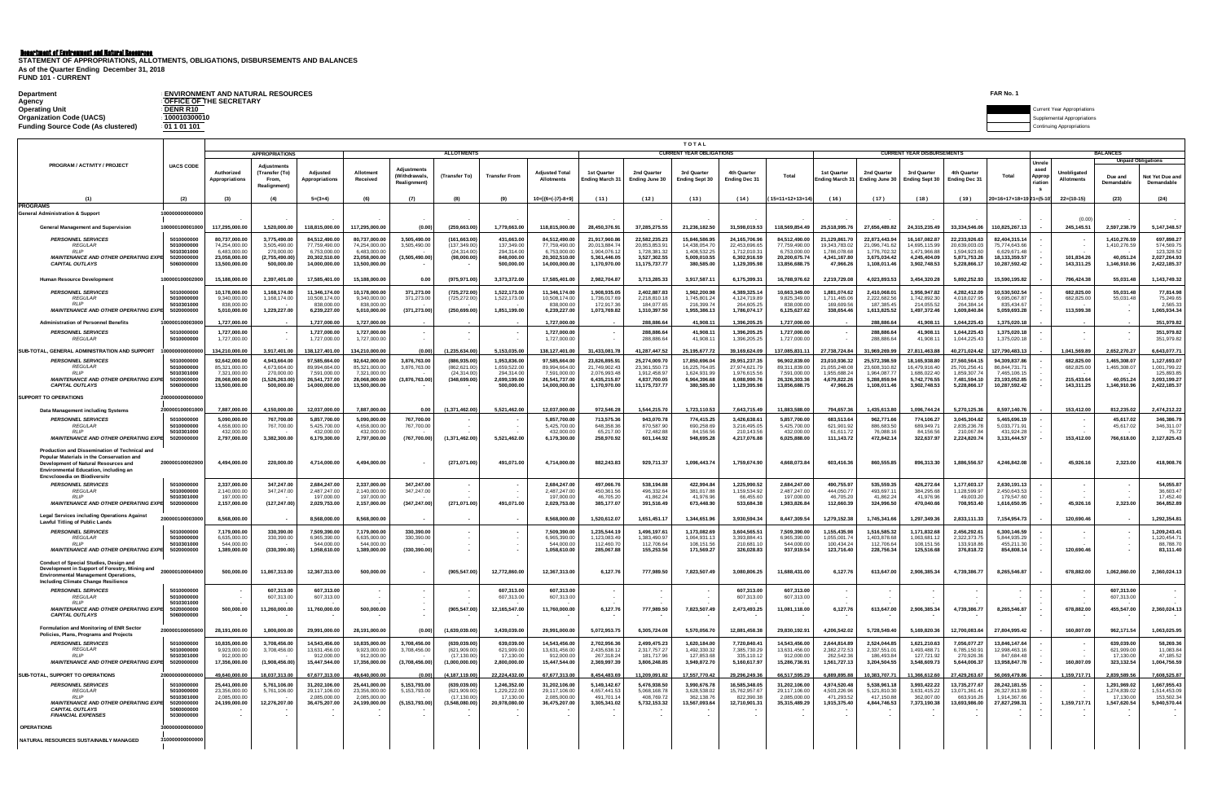| <b>Department</b>                         | <b>ENVIRONMENT AND NATURAL RESOURCES</b> | FAR No.                            |
|-------------------------------------------|------------------------------------------|------------------------------------|
| Agency                                    | <b>OFFICE OF THE SECRETARY</b>           |                                    |
| <b>Operating Unit</b>                     | DENR R10                                 | <b>Current Year Appropriations</b> |
| <b>Organization Code (UACS)</b>           | 100010300010                             | upplemental Appropriations         |
| <b>Funding Source Code (As clustered)</b> | : 01 1 01 101                            | <b>Continuing Appropriations</b>   |

|                                                                                                                                                                                                             |                                                                                  |                                                                                  |                                                                            |                                                                                  |                                                                                  |                                                  |                                                              |                                                                          |                                                                                  |                                                                                |                                                                                 | <b>TOTAL</b>                                                                 |                                                                                |                                                                                  |                                                                           |                                                                                |                                                                                |                                                                            |                                                                                  |                                   |                                                      |                                                           |                                                                            |  |
|-------------------------------------------------------------------------------------------------------------------------------------------------------------------------------------------------------------|----------------------------------------------------------------------------------|----------------------------------------------------------------------------------|----------------------------------------------------------------------------|----------------------------------------------------------------------------------|----------------------------------------------------------------------------------|--------------------------------------------------|--------------------------------------------------------------|--------------------------------------------------------------------------|----------------------------------------------------------------------------------|--------------------------------------------------------------------------------|---------------------------------------------------------------------------------|------------------------------------------------------------------------------|--------------------------------------------------------------------------------|----------------------------------------------------------------------------------|---------------------------------------------------------------------------|--------------------------------------------------------------------------------|--------------------------------------------------------------------------------|----------------------------------------------------------------------------|----------------------------------------------------------------------------------|-----------------------------------|------------------------------------------------------|-----------------------------------------------------------|----------------------------------------------------------------------------|--|
|                                                                                                                                                                                                             |                                                                                  |                                                                                  | <b>APPROPRIATIONS</b>                                                      |                                                                                  |                                                                                  |                                                  | <b>ALLOTMENTS</b>                                            |                                                                          |                                                                                  |                                                                                |                                                                                 | <b>CURRENT YEAR OBLIGATIONS</b>                                              |                                                                                |                                                                                  |                                                                           |                                                                                | <b>CURRENT YEAR DISBURSEMENTS</b>                                              |                                                                            |                                                                                  |                                   |                                                      | <b>BALANCES</b><br><b>Unpaid Obligations</b>              |                                                                            |  |
| PROGRAM / ACTIVITY / PROJECT                                                                                                                                                                                | <b>UACS CODE</b>                                                                 | Authorized<br>Appropriation:                                                     | (Transfer (To)<br>From,<br>Realignment)                                    | Adiusted<br><b>Appropriations</b>                                                | Allotment<br>Received                                                            | Adiustments<br><b>Withdrawals</b><br>Realignment | (Transfer To)                                                | <b>Transfer From</b>                                                     | <b>Adiusted Tota</b><br><b>Allotments</b>                                        | 1st Quarte<br><b>Ending March 31</b>                                           | 2nd Quarter<br>Ending June 30                                                   | 3rd Quarter<br><b>Ending Sept 30</b>                                         | 4th Quarter<br><b>Ending Dec 31</b>                                            | Total                                                                            | 1st Quarter<br><b>Ending March 31</b>                                     | 2nd Quarter<br>Ending June 30                                                  | 3rd Quarter<br><b>Ending Sept 30</b>                                           | 4th Quarter<br><b>Ending Dec 31</b>                                        | Total                                                                            | Unrele<br>ased<br>Appro<br>riatic | Unobligated<br><b>Allotments</b>                     | Due and<br>Demandabl                                      | Not Yet Due an<br>Demandable                                               |  |
|                                                                                                                                                                                                             | (2)                                                                              |                                                                                  |                                                                            | $5=(3+4)$                                                                        | (6)                                                                              | (7)                                              | (8)                                                          | (9)                                                                      | $10 = 16 + (-17) - 8 + 91$                                                       | (11)                                                                           | (12)                                                                            | (13)                                                                         | (14)                                                                           | $15=11+12+13+14$                                                                 | (16)                                                                      | (17)                                                                           | (18)                                                                           | (19)                                                                       | 20=16+17+18+19 21=(5-10                                                          |                                   | $22=(10-15)$                                         | (23)                                                      | (24)                                                                       |  |
| PROGRAMS<br><b>General Administration &amp; Support</b>                                                                                                                                                     |                                                                                  |                                                                                  |                                                                            |                                                                                  |                                                                                  |                                                  |                                                              |                                                                          |                                                                                  |                                                                                |                                                                                 |                                                                              |                                                                                |                                                                                  |                                                                           |                                                                                |                                                                                |                                                                            |                                                                                  |                                   | (0.00)                                               |                                                           |                                                                            |  |
| <b>General Management and Supervision</b>                                                                                                                                                                   | 10000010000100                                                                   | 117.295.000.00                                                                   | 1.520.000.00                                                               | 118.815.000.00                                                                   | 117.295.000.00                                                                   | (0.00)                                           | (259,663.00                                                  | 1.779.663.00                                                             | 118.815.000.00                                                                   | 28.450.376.91                                                                  | 37.285.275.55                                                                   | 21.236.182.50                                                                | 31.598.019.53                                                                  | 118.569.854.49                                                                   | 25.518.995.76                                                             | 27.656.489.82                                                                  | 24.315.235.49                                                                  | 33.334.546.06                                                              | 110.825.267.13                                                                   |                                   | 245.145.51                                           | 2.597.238.79                                              | 5.147.348.57                                                               |  |
| <b>PERSONNEL SERVICES</b><br><b>REGULAR</b>                                                                                                                                                                 | 5010000000<br>5010000000                                                         | 80.737.000.00<br>74.254.000.00                                                   | 3.775.490.00<br>3.505.490.00                                               | 84.512.490.00<br>77.759.490.00                                                   | 80.737.000.00<br>74.254.000.00                                                   | 3.505.490.00<br>3.505.490.00                     | (161.663.00<br>(137,349.00                                   | 431.663.00<br>137,349.00                                                 | 84.512.490.00<br>77.759.490.00                                                   | 21.917.960.86<br>20.013.884.74                                                 | 22.582.235.23<br>20.853.853.91                                                  | 15.846.586.95<br>14.438.054.70                                               | 24.165.706.96<br>22.453.696.65                                                 | 84.512.490.00<br>77.759.490.00                                                   | 21.129.861.70<br>19.343.783.02                                            | 22.873.443.94<br>21.096.741.62                                                 | 16.167.082.87<br>14.695.115.99                                                 | 22.233.926.63<br>20.639.003.03                                             | 82.404.315.14<br>75.774.643.66                                                   |                                   |                                                      | 1.410.276.59<br>1.410.276.59                              | 697.898.27<br>574.569.75                                                   |  |
| RI IP<br><b>MAINTENANCE AND OTHER OPERATING EXP</b><br><b>CAPITAL OUTLAYS</b>                                                                                                                               | 5010301000<br>5020000000<br>506000000                                            | 6.483.000.00<br>23.058.000.00<br>13,500,000,00                                   | 270,000.00<br>(2.755.490.00)<br>500,000,00                                 | 6.753.000.00<br>20.302.510.00<br>14.000.000.00                                   | 6.483,000.00<br>23.058.000.00<br>13,500,000,00                                   | (3,505,490.00)                                   | (24.314.00)<br>(98,000,00)                                   | 294 314 00<br>848,000,00<br>500,000,00                                   | 6.753.000.00<br>20.302.510.00<br>14.000.000.00                                   | 1.904.076.12<br>5.361.446.05<br>1.170.970.00                                   | 1 728 381 32<br>3.527.302.55<br>11.175.737.77                                   | 1 408 532 25<br>5.009.010.55<br>380,585,00                                   | 171201031<br>6.302.916.59<br>1.129.395.98                                      | 6.753.000.00<br>20.200.675.74<br>13.856.688.75                                   | 1.786.078.68<br>4.341.167.80<br>47.966.26                                 | 1 776 702 32<br>3.675.034.42<br>1.108.011.46                                   | 1 471 966 88<br>4.245.404.09<br>3.902.748.53                                   | 1.594.923.6<br>5.871.753.26<br>5.228.866.1                                 | 6.629.671.48<br>18.133.359.57<br>10.287.592.42                                   |                                   | 101,834.26<br>143.311.25                             | 40,051.24<br>1.146.910.96                                 | 123 328 52<br>2.027.264.93<br>2,422,185.37                                 |  |
| Human Resource Developmer                                                                                                                                                                                   | 000001000020                                                                     | 15.188.000.00                                                                    | 2,397,401.00                                                               | 17.585.401.00                                                                    | 15.188.000.00                                                                    | 0.00                                             | (975, 971.00)                                                | 3,373,372.00                                                             | 17,585,401.00                                                                    | 2.982.704.87                                                                   | 3,713,285.33                                                                    | 3.917.587.11                                                                 | 6,175,399.31                                                                   | 16,788,976.62                                                                    | 2,219,729.08                                                              | 4,023,893.53                                                                   | 3,454,320.28                                                                   | 5,892,252.93                                                               | 15,590,195.82                                                                    |                                   | 796,424.38                                           | 55.031.48                                                 | 1,143,749.32                                                               |  |
| PERSONNEL SERVICES<br><b>REGULAR</b>                                                                                                                                                                        | 5010000000<br>5010000000                                                         | 10.178.000.00<br>9,340,000.00                                                    | 1.168.174.00<br>1.168.174.00                                               | 11.346.174.00<br>10.508.174.00                                                   | 10.178.000.00<br>9,340,000.00                                                    | 371,273.00<br>371,273.00                         | (725.272.00<br>(725,272.00                                   | 1,522,173.00<br>1,522,173.00                                             | 11.346.174.00<br>10.508.174.00                                                   | 1.908.935.05<br>1.736.017.69                                                   | 2.402.887.83<br>2,218,810.18                                                    | 1.962.200.98<br>1.745.801.24                                                 | 4.389.325.14<br>4.124.719.89                                                   | 10.663.349.00<br>9.825.349.00                                                    | 1.881.074.62<br>1.711.465.06                                              | 2.410.068.01<br>2.222.682.56                                                   | 1.956.947.82<br>1.742.892.30                                                   | 4.282.412.0<br>4.018.027.95                                                | 10.530.502.54<br>9,695,067.87                                                    |                                   | 682,825.00<br>682,825.00                             | 55.031.48<br>55.031.48                                    | 77.814.98<br>75,249.65                                                     |  |
| RIIP<br><b>MAINTENANCE AND OTHER OPERATING EXP</b>                                                                                                                                                          | 5010301000<br>502000000                                                          | 838,000.00<br>5,010,000.00                                                       | 1.229.227.00                                                               | 838,000.00<br>6,239,227.00                                                       | 838,000.00<br>5,010,000.00                                                       | (371, 273.00)                                    | (250, 699.00)                                                | 1,851,199.00                                                             | 838,000.0<br>6,239,227.00                                                        | 172 917 36<br>1.073.769.82                                                     | 184.077.65<br>1.310.397.50                                                      | 216 399 7<br>1.955.386.13                                                    | 264,605.25<br>1.786.074.17                                                     | 838,000.00<br>6,125,627.62                                                       | 169,609.5<br>338,654,46                                                   | 187, 385, 45<br>1,613,825.52                                                   | 214,055.53<br>1.497.372.46                                                     | 264 384 1<br>1.609.840.84                                                  | 835 434 67<br>5,059,693.28                                                       |                                   | 113,599.38                                           |                                                           | 2.565.33<br>1.065.934.34                                                   |  |
| <b>Administration of Personnel Benefits</b>                                                                                                                                                                 | 0001000030                                                                       | 1.727.000.00                                                                     |                                                                            | 1.727.000.00                                                                     | 1.727.000.0                                                                      |                                                  |                                                              |                                                                          | 1.727.000.0                                                                      |                                                                                | 288,886.6                                                                       | 41.908.1                                                                     | 1.396.205.25                                                                   | 1.727.000.0                                                                      |                                                                           | 288.886.6                                                                      | 41.908.1                                                                       | 1.044.225.4                                                                | 1.375.020.1                                                                      |                                   |                                                      |                                                           | 351,979.82                                                                 |  |
| <b>PERSONNEL SERVICES</b><br><b>REGULAR</b>                                                                                                                                                                 | 5010000000<br>5010000000                                                         | 1.727.000.00<br>1,727,000.00                                                     |                                                                            | 1.727.000.0<br>1,727,000.00                                                      | 1.727.000.00<br>1,727,000.00                                                     |                                                  |                                                              |                                                                          | 1.727.000.0<br>1,727,000.00                                                      | $\sim$                                                                         | 288.886.6<br>288,886.64                                                         | 41.908.1<br>41,908.11                                                        | 1.396.205.25<br>1,396,205.25                                                   | 1.727.000.00<br>1,727,000.00                                                     |                                                                           | 288.886.6<br>288,886.64                                                        | 41.908.1<br>41,908.1                                                           | 1.044.225.4<br>1,044,225.43                                                | 1.375.020.18<br>1,375,020.18                                                     |                                   | $\overline{\phantom{a}}$                             |                                                           | 351.979.82<br>351,979.82                                                   |  |
| SUB-TOTAL, GENERAL ADMINISTRATION AND SUPPORT                                                                                                                                                               |                                                                                  | 34,210,000.00                                                                    | 3,917,401.00                                                               | 138,127,401.0                                                                    | 134,210,000.0                                                                    | (0.00)                                           | 1,235,634.0                                                  | 5,153,035.00                                                             | 138,127,401.00                                                                   | 31,433,081.78                                                                  | 41.287.447.5                                                                    | 25,195,677.72                                                                | 39,169,624.09                                                                  | 137,085,831.1                                                                    | 27,738,724.84                                                             | 1,969,269.9                                                                    | 27,811,463.8                                                                   | 40,271,024.4                                                               | 127,790,483.13                                                                   |                                   | 1,041,569.89                                         | 2,652,270.27                                              | 6,643,077.71                                                               |  |
| <b>PERSONNEL SERVICES</b><br>REGULAR<br><b>RIP</b><br><b>MAINTENANCE AND OTHER OPERATING EXP</b><br><b>CAPITAL OUTLAYS</b>                                                                                  | 5010000000<br>5010000000<br>5010301000<br>502000000<br>506000000                 | 92.642.000.00<br>85.321.000.00<br>7.321.000.00<br>28.068.000.00<br>13,500,000,00 | 4.943.664.00<br>4.673.664.00<br>270,000.00<br>(1.526.263.00)<br>500.000.00 | 97.585.664.00<br>89.994.664.00<br>7.591.000.00<br>26.541.737.00<br>14.000.000.00 | 92.642.000.00<br>85.321.000.00<br>7.321.000.00<br>28.068.000.00<br>13.500.000.00 | 3,876,763.00<br>3,876,763.00<br>(3,876,763.00)   | (886.935.00<br>(862.621.00<br>(24.314.00)<br>(348, 699.00)   | 1.953.836.00<br>1.659.522.00<br>294.314.00<br>2.699.199.00<br>500,000,00 | 97.585.664.00<br>89 994 664 00<br>7.591.000.00<br>26,541,737.00<br>14.000.000.00 | 23.826.895.91<br>21.749.902.43<br>2.076.993.48<br>6.435.215.87<br>1,170,970.00 | 25.274.009.70<br>23.361.550.73<br>1.912.458.97<br>4.837.700.05<br>11,175,737.77 | 17.850.696.04<br>16 225 764 05<br>1.624.931.99<br>6.964.396.68<br>380,585,00 | 29,951,237.35<br>27.974.621.79<br>1.976.615.56<br>8.088.990.76<br>1,129,395.98 | 96.902.839.00<br>89.311.839.00<br>7.591.000.00<br>26.326.303.36<br>13,856,688.75 | 23,010,936.32<br>21.055.248.08<br>1.955.688.2<br>4.679.822.2<br>47,966.26 | 25.572.398.59<br>23.608.310.82<br>1.964.087.77<br>5.288.859.94<br>1,108,011.46 | 18,165,938,80<br>16,479,916,40<br>1.686.022.40<br>5.742.776.55<br>3,902,748.53 | 27.560.564.1<br>25.701.256.4<br>1.859.307.7<br>7.481.594.1<br>5,228,866.17 | 94.309.837.86<br>86.844.731.71<br>7 465 106 15<br>23.193.052.85<br>10,287,592.42 |                                   | 682.825.00<br>682.825.00<br>215.433.64<br>143,311.25 | 1.465.308.07<br>1.465.308.07<br>40.051.24<br>1,146,910.96 | 1.127.693.07<br>1.001.799.22<br>125 893 85<br>3.093.199.27<br>2.422.185.37 |  |
| <b>SUPPORT TO OPERATIONS</b>                                                                                                                                                                                |                                                                                  |                                                                                  |                                                                            |                                                                                  |                                                                                  |                                                  |                                                              |                                                                          |                                                                                  |                                                                                |                                                                                 |                                                                              |                                                                                |                                                                                  |                                                                           |                                                                                |                                                                                |                                                                            |                                                                                  |                                   |                                                      |                                                           |                                                                            |  |
| Data Management including System                                                                                                                                                                            | 000010000100                                                                     | 7.887.000.00                                                                     | 4.150.000.00                                                               | 12.037.000.00                                                                    | 7.887.000.00                                                                     | 0.00                                             | (1.371.462.00                                                | 5.521.462.00                                                             | 12.037.000.00                                                                    | 972.546.28                                                                     | 1.544.215.70                                                                    | 1.723.110.53                                                                 | 7.643.715.49                                                                   | 11.883.588.00                                                                    | 794.657.36                                                                | 1.435.613.80                                                                   | 1.096.744.24                                                                   | 5.270.125.36                                                               | 8.597.140.76                                                                     |                                   | 153.412.00                                           | 812.235.02                                                | 2,474,212.22                                                               |  |
| <b>PERSONNEL SERVICES</b><br><b>REGULAR</b>                                                                                                                                                                 | 5010000000<br>5010000000                                                         | 5.090.000.00<br>4.658.000.00                                                     | 767.700.00<br>767,700.00                                                   | 5.857.700.00<br>5.425.700.00                                                     | 5.090.000.00<br>4.658.000.00                                                     | 767.700.00<br>767,700.00                         |                                                              |                                                                          | 5.857.700.00<br>5.425.700.00                                                     | 713.575.36<br>648.358.36                                                       | 943.070.78<br>870.587.90                                                        | 774.415.25<br>690.258.69                                                     | 3.426.638.61<br>3.216.495.05                                                   | 5.857.700.00<br>5.425.700.00                                                     | 683.513.64<br>621.901.92                                                  | 962.771.66<br>886,683,50                                                       | 774.106.2<br>689.949.71                                                        | 3.045.304.63<br>2.835.236.78                                               | 5.465.696.19<br>5.033.771.91                                                     |                                   |                                                      | 45.617.02<br>45.617.02                                    | 346.386.79<br>346,311.07                                                   |  |
| RI IP<br><b>MAINTENANCE AND OTHER OPERATING EXP</b>                                                                                                                                                         | 5010301000<br>5020000000                                                         | 432,000.00<br>2.797.000.00                                                       | 3,382,300.00                                                               | 432,000.00<br>6,179,300.00                                                       | 432,000.00<br>2.797.000.00                                                       | (767,700.00)                                     | (1,371,462.00)                                               | 5,521,462.00                                                             | 432,000.00<br>6.179.300.00                                                       | 65.217.00<br>258,970.92                                                        | 72 482 8F<br>601.144.92                                                         | 84 156 56<br>948.695.28                                                      | 210.143.56<br>4.217.076.88                                                     | 432,000.00<br>6,025,888.00                                                       | 61.611.72<br>111.143.72                                                   | 76,088.16<br>472.842.14                                                        | 84 156 56<br>322.637.97                                                        | 210.067.8<br>2.224.820.74                                                  | 431 924 28<br>3.131.444.57                                                       |                                   | 153,412.00                                           | 766,618,00                                                | 75.72<br>2,127,825.43                                                      |  |
| Production and Dissemination of Technical and<br>Popular Materials in the Conservation and<br>Development of Natural Resources and<br>Environmental Education, including an<br>Encyclonedia on Riodiversity | 200000100002000                                                                  | 4.494.000.00                                                                     | 220,000.00                                                                 | 4.714.000.00                                                                     | 4.494.000.00                                                                     |                                                  | (271.071.00                                                  | 491.071.00                                                               | 4.714.000.00                                                                     | 882.243.83                                                                     | 929.711.37                                                                      | 1.096.443.74                                                                 | 1.759.674.90                                                                   | 4.668.073.84                                                                     | 603.416.36                                                                | 860.555.85                                                                     | 896.313.30                                                                     | 1.886.556.57                                                               | 4.246.842.08                                                                     |                                   | 45.926.16                                            | 2.323.00                                                  | 418,908,76                                                                 |  |
| <b>PERSONNEL SERVICES</b><br><b>REGULAR</b><br><b>RLIP</b>                                                                                                                                                  | 5010000000<br>5010000000<br>5010301000                                           | 2.337.000.00<br>2.140.000.00<br>197,000.00                                       | 347.247.00<br>347.247.00                                                   | 2,684,247.00<br>2.487.247.00<br>197,000.0                                        | 2.337.000.00<br>2.140.000.00<br>197,000.00                                       | 347.247.00<br>347.247.00                         |                                                              |                                                                          | 2,684,247.00<br>2.487.247.00<br>197,000.0                                        | 497.066.76<br>450.361.56<br>46.705.20                                          | 538.194.88<br>496.332.64<br>41.862.2                                            | 422.994.84<br>381.017.88<br>41.976.96                                        | 1,225,990.52<br>1.159.534.92<br>66,455.6                                       | 2.684.247.00<br>2.487.247.00<br>197,000.00                                       | 490,755.97<br>444.050.77<br>46.705.20                                     | 535,559.35<br>493.697.11<br>41.862.2                                           | 426,272.64<br>384.295.68<br>41.976.9                                           | 1.177.603.1<br>1.128.599.97<br>49.003.2                                    | 2.630.191.13<br>2.450.643.53<br>179,547,60                                       |                                   |                                                      |                                                           | 54.055.87<br>36 603 47<br>17.452.40                                        |  |
| <b>MAINTENANCE AND OTHER OPERATING EXP</b>                                                                                                                                                                  | 5020000000                                                                       | 2.157.000.00                                                                     | (127.247.00)                                                               | 2.029.753.00                                                                     | 2.157.000.00                                                                     | (347, 247.00)                                    | (271,071.00)                                                 | 491,071.00                                                               | 2.029.753.00                                                                     | 385,177.07                                                                     | 391.516.49                                                                      | 673.448.90                                                                   | 533,684.38                                                                     | 1,983,826.84                                                                     | 112,660,39                                                                | 324,996.50                                                                     | 470.040.66                                                                     | 708,953.40                                                                 | 1,616,650.95                                                                     |                                   | 45,926.16                                            | 2,323.00                                                  | 364,852.89                                                                 |  |
| <b>Legal Services including Operations Against</b><br><b>Lawful Titling of Public Lands</b>                                                                                                                 | 20000010000300                                                                   | 8.568.000.00                                                                     |                                                                            | 8.568.000.00                                                                     | 8.568.000.00                                                                     |                                                  |                                                              |                                                                          | 8,568,000.00                                                                     | 1.520.612.07                                                                   | 1.651.451.1                                                                     | 1.344.651.96                                                                 | 3.930.594.34                                                                   | 8.447.309.54                                                                     | 1,279,152.38                                                              | 1.745.341.66                                                                   | 1.297.349.3                                                                    | 2.833.111.33                                                               | 7,154,954.73                                                                     |                                   | 120,690,46                                           |                                                           | 1,292,354.81                                                               |  |
| <b>PERSONNEL SERVICES</b><br><b>REGULAR</b><br>RI IP                                                                                                                                                        | 5010000000<br>5010000000<br>5010301000                                           | 7.179.000.00<br>6.635.000.00<br>544,000.00                                       | 330,390.00<br>330,390.00                                                   | 7.509.390.0<br>6.965.390.00<br>544,000.00                                        | 7,179,000.00<br>6,635,000.00<br>544,000.00                                       | 330.390.00<br>330.390.00                         |                                                              |                                                                          | 7.509.390.0<br>6.965.390.00<br>544,000.00                                        | 1.235.544.19<br>1.123.083.49<br>112,460.70                                     | 1.496.197.6<br>1.383.490.97<br>112,706.6                                        | 1.173.082.69<br>1.064.931.13<br>108,151.56                                   | 3,604,565.51<br>3.393.884.4<br>210,681.1                                       | 7.509.390.00<br>6.965.390.00<br>544,000.00                                       | 1.155.435.9<br>1.055.001.7<br>100.434.2                                   | 1,516,585.32<br>1.403.878.68<br>112,706.64                                     | 1,171,832.68<br>1.063.681.12<br>108.151.56                                     | 2,456,292.61<br>2.322.373.7<br>133,918.8                                   | 6,300,146.59<br>5.844.935.29<br>455,211.30                                       |                                   |                                                      |                                                           | 1,209,243.41<br>1.120.454.71<br>88,788.70                                  |  |
| MAINTENANCE AND OTHER OPERATING EXP<br><b>Conduct of Special Studies, Design and</b>                                                                                                                        | 502000000                                                                        | 1,389,000.00                                                                     | (330, 390.00)                                                              | 1,058,610.00                                                                     | 1,389,000.00                                                                     | (330, 390.00)                                    |                                                              |                                                                          | 1,058,610.00                                                                     | 285,067.88                                                                     | 155,253.56                                                                      | 171,569.27                                                                   | 326,028.83                                                                     | 937,919.54                                                                       | 123,716.40                                                                | 228,756.34                                                                     | 125,516.68                                                                     | 376,818.72                                                                 | 854,808.14                                                                       |                                   | 120,690.46                                           |                                                           | 83,111.40                                                                  |  |
| Development in Support of Forestry, Mining and<br><b>Environmental Management Operations</b><br>Including Climate Change Resilience                                                                         | 200000100004000                                                                  | 500.000.00                                                                       | 11.867.313.00                                                              | 12.367.313.00                                                                    | 500,000,00                                                                       |                                                  | (905.547.00)                                                 | 12,772,860.00                                                            | 12.367.313.00                                                                    | 6,127.76                                                                       | 777.989.50                                                                      | 7.823.507.49                                                                 | 3.080.806.25                                                                   | 11,688,431,00                                                                    | 6,127.76                                                                  | 613,647,00                                                                     | 2.906.385.34                                                                   | 4.739.386.77                                                               | 8.265.546.87                                                                     |                                   | 678,882.00                                           | 1.062.860.00                                              | 2.360.024.13                                                               |  |
| <b>PERSONNEL SERVICES</b><br><b>REGULAR</b><br><b>RIP</b>                                                                                                                                                   | 5010000000<br>5010000000<br>5010301000                                           |                                                                                  | 607.313.00<br>607,313.00                                                   | 607 313 00<br>607,313.00                                                         |                                                                                  |                                                  |                                                              | 607.313.00<br>607,313.00                                                 | 607.313.00<br>607,313.00                                                         |                                                                                |                                                                                 |                                                                              | 607.313.00<br>607,313.00                                                       | 607.313.00<br>607,313.00                                                         |                                                                           |                                                                                |                                                                                |                                                                            |                                                                                  |                                   |                                                      | 607.313.00<br>607,313.00                                  |                                                                            |  |
| <b>MAINTENANCE AND OTHER OPERATING EXP</b><br><b>CAPITAL OUTLAYS</b>                                                                                                                                        | 5020000000                                                                       | 500,000.00                                                                       | 11,260,000.00                                                              | 11,760,000.00                                                                    | 500,000.00                                                                       |                                                  | (905,547.00)                                                 | 12,165,547.00                                                            | 11,760,000.00                                                                    | 6,127.76                                                                       | 777,989.50                                                                      | 7,823,507.49                                                                 | 2,473,493.25                                                                   | 11,081,118.00                                                                    | 6,127.76                                                                  | 613,647.00                                                                     | 2,906,385.34                                                                   | 4,739,386.77                                                               | 8,265,546.87                                                                     |                                   | 678,882.00                                           | 455,547.00                                                | 2,360,024.13                                                               |  |
| <b>Formulation and Monitoring of ENR Sector</b><br>Policies, Plans, Programs and Projects                                                                                                                   | 0000100005                                                                       | 28.191.000.00                                                                    | 1.800.000.00                                                               | 29.991.000.00                                                                    | 28.191.000.00                                                                    | (0.00)                                           | (1.639.039.00                                                | 3.439.039.00                                                             | 29.991.000.00                                                                    | 5.072.953.75                                                                   | 6.305.724.0                                                                     | 5.570.056.70                                                                 | 12.881.458.38                                                                  | 29.830.192.91                                                                    | 4.206.542.02                                                              | 5.728.549.40                                                                   | 5.169.820.3                                                                    | 12.700.083.6                                                               | 27.804.995.42                                                                    |                                   | 160,807.09                                           | 962.171.54                                                | 1,063,025.95                                                               |  |
| <b>PERSONNEL SERVICES</b><br><b>REGULAR</b><br><b>RUF</b><br><b>MAINTENANCE AND OTHER OPERATING EXPI</b>                                                                                                    | 5010000000<br>5010000000<br>5010301000<br>502000000                              | 10.835.000.00<br>9.923.000.00<br>912,000.00<br>17.356.000.00                     | 3.708.456.00<br>3.708.456.00<br>(1.908.456.00)                             | 14.543.456.00<br>13.631.456.00<br>912,000.00<br>15.447.544.00                    | 10.835.000.00<br>9.923.000.00<br>912,000.00<br>17.356.000.00                     | 3.708.456.00<br>3.708.456.00<br>(3,708, 456.00)  | (639.039.00<br>(621,909.00<br>(17.130.00<br>(1.000.000.00    | 639.039.00<br>621,909.00<br>17.130.00<br>2.800.000.00                    | 14.543.456.00<br>13.631.456.00<br>912,000.00<br>15,447,544,00                    | 2.702.956.36<br>2.435.638.12<br>267 318 24<br>2.369.997.39                     | 2.499.475.23<br>2.317.757.27<br>181 717 GF<br>3.806.248.85                      | 1.620.184.00<br>1.492.330.32<br>127 853 68<br>3.949.872.70                   | 7.720.840.41<br>7.385.730.29<br>335 110 12<br>5.160.617.97                     | 14.543.456.00<br>13.631.456.00<br>912,000.00<br>15.286.736.9                     | 2.644.814.89<br>2.382.272.53<br>262,542.36<br>1.561.727.13                | 2.524.044.85<br>2.337.551.01<br>186 493 84<br>3.204.504.55                     | 1.621.210.63<br>1.493.488.7<br>127 721 92<br>3.548.609.73                      | 7.056.077.27<br>6.785.150.9<br>270 926 3<br>5.644.006.3                    | 13.846.147.64<br>12.998.463.16<br>847 684 48<br>13.958.847.78                    |                                   | 160,807.09                                           | 639.039.00<br>621,909.00<br>17.130.00<br>323.132.54       | 58.269.36<br>11.083.84<br>47.185.52<br>1.004.756.59                        |  |
| SUB-TOTAL, SUPPORT TO OPERATIONS                                                                                                                                                                            |                                                                                  | 49,640,000.0                                                                     | 18,037,313.0                                                               | 67,677,313.0                                                                     | 49.640.000.0                                                                     | (0.00)                                           | 4,187, <u>119.00</u>                                         | 22,224,432.00                                                            | 67.677.313.0                                                                     | 8,454,483.6                                                                    | 1.209.091.8                                                                     | 7,557,770.42                                                                 | 29,296,249.3                                                                   | 66,517,595.29                                                                    | 6,889,895.8                                                               | 0.383.707.7                                                                    | 1.366.612.                                                                     | 27,429,263.6                                                               | 56,069,479.86                                                                    |                                   | 1.159.717.7                                          | 2.839.589.5                                               | 7,608,525.87                                                               |  |
| <b>PERSONNEL SERVICES</b><br><b>REGULAR</b><br><b>RIP</b><br><b>MAINTENANCE AND OTHER OPERATING EXP</b><br><b>CAPITAL OUTLAYS</b>                                                                           | 5010000000<br>5010000000<br>5010301000<br>5020000000<br>5060000000<br>5030000000 | 25.441.000.00<br>23.356.000.00<br>2.085.000.00<br>24.199.000.00                  | 5.761.106.00<br>5,761,106.00<br>12.276.207.00                              | 31.202.106.00<br>29.117.106.00<br>2.085.000.00<br>36,475,207.00                  | 25.441.000.00<br>23.356.000.00<br>2.085.000.00<br>24.199.000.00                  | 5.153.793.00<br>5,153,793.00<br>(5, 153, 793.00) | (639.039.00<br>(621,909.00<br>(17, 130, 00)<br>(3.548.080.00 | 1.246.352.00<br>1,229,222.00<br>17, 130, 00<br>20,978,080.00             | 31.202.106.00<br>29.117.106.00<br>2.085.000.00<br>36,475,207.00                  | 5.149.142.67<br>4 657 441 53<br>491 701 14<br>3,305,341.02                     | 5.476.938.50<br>5.068.168.78<br>408 769 72<br>5,732,153.32                      | 3.990.676.78<br>3 628 538 02<br>362 138 76<br>13,567,093.64                  | 16.585.348.05<br>15 762 957 67<br>822,390.38<br>12.710.901.31                  | 31.202.106.00<br>29 117 106 00<br>2.085.000.00<br>35,315,489.29                  | 4.974.520.48<br>4.503.226.96<br>471, 293, 52<br>1,915,375.40              | 5.538.961.18<br>5.121.810.30<br>417 150 88<br>4.844.746.53                     | 3.993.422.22<br>3 631 415 22<br>362,007.00<br>7.373.190.38                     | 13.735.277.67<br>13.071.361.4<br>663 916 26<br>13.693.986.00               | 28.242.181.55<br>26,327,813.89<br>1.914.367.66<br>27.827.298.31                  |                                   | 1,159,717.71                                         | 1.291.969.02<br>1.274.839.02<br>17.130.00<br>1.547.620.54 | 1.667.955.43<br>1.514 453 09<br>153 502 34<br>5,940,570.44                 |  |
| <b>FINANCIAL EXPENSES</b><br><b>OPERATIONS</b>                                                                                                                                                              |                                                                                  |                                                                                  |                                                                            |                                                                                  |                                                                                  |                                                  |                                                              |                                                                          |                                                                                  |                                                                                |                                                                                 |                                                                              |                                                                                |                                                                                  |                                                                           |                                                                                |                                                                                |                                                                            |                                                                                  |                                   |                                                      |                                                           |                                                                            |  |
| NATURAL RESOURCES SUSTAINABLY MANAGED                                                                                                                                                                       |                                                                                  |                                                                                  |                                                                            |                                                                                  |                                                                                  |                                                  |                                                              |                                                                          |                                                                                  |                                                                                |                                                                                 |                                                                              |                                                                                |                                                                                  |                                                                           |                                                                                |                                                                                |                                                                            |                                                                                  |                                   |                                                      |                                                           |                                                                            |  |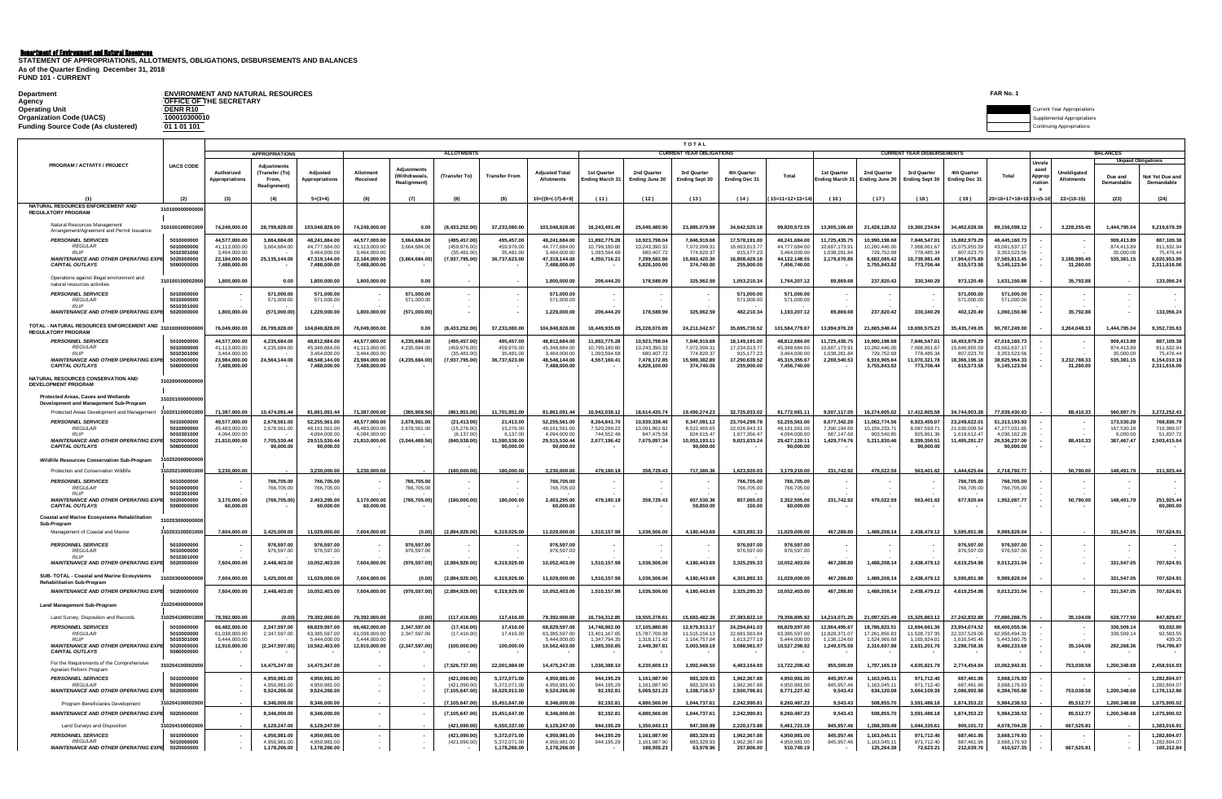| <b>Department</b>                         | <b>ENVIRONMENT AND NATURAL RESOURCES</b>                                                           | FAR No. |                                    |
|-------------------------------------------|----------------------------------------------------------------------------------------------------|---------|------------------------------------|
| Agency                                    | : OFFICE OF THE SECRETARY                                                                          |         |                                    |
| <b>Operating Unit</b>                     | <b>DENR R10</b><br>the contract of the contract of the contract of the contract of the contract of |         | <b>Current Year Appropriations</b> |
| <b>Organization Code (UACS)</b>           | 100010300010                                                                                       |         | Supplemental Appropriations        |
| <b>Funding Source Code (As clustered)</b> | : 01 1 01 101                                                                                      |         | <b>Continuing Appropriations</b>   |

|                                                                                            |                                        | TOTAL<br><b>CURRENT YEAR OBLIGATIONS</b><br><b>CURRENT YEAR DISBURSEMENTS</b> |                                              |                                               |                                               |                                                          |                                               |                                             |                                               |                                                      |                                              |                                          |                                              |                                               |                                      |                                            |                                          |                                           |                                               |                                         |                                         |                                              |                                              |
|--------------------------------------------------------------------------------------------|----------------------------------------|-------------------------------------------------------------------------------|----------------------------------------------|-----------------------------------------------|-----------------------------------------------|----------------------------------------------------------|-----------------------------------------------|---------------------------------------------|-----------------------------------------------|------------------------------------------------------|----------------------------------------------|------------------------------------------|----------------------------------------------|-----------------------------------------------|--------------------------------------|--------------------------------------------|------------------------------------------|-------------------------------------------|-----------------------------------------------|-----------------------------------------|-----------------------------------------|----------------------------------------------|----------------------------------------------|
|                                                                                            |                                        |                                                                               | APPROPRIATIONS                               |                                               |                                               |                                                          | <b>ALLOTMENTS</b>                             |                                             |                                               |                                                      |                                              |                                          |                                              |                                               |                                      |                                            |                                          |                                           |                                               |                                         |                                         | <b>BALANCES</b><br><b>Unpaid Obligations</b> |                                              |
| PROGRAM / ACTIVITY / PROJECT                                                               | <b>UACS CODE</b>                       | Authorized<br><b>Appropriation:</b>                                           | (Transfer (To)<br>From,<br>Realignment)      | Adiustec<br>Appropriation                     | Allotment<br>Received                         | <b>Adjustments</b><br><b>(Withdrawals</b><br>Realignment | (Transfer To)                                 | <b>Transfer Fron</b>                        | <b>Adiusted Total</b><br>Allotments           | 1st Quarter<br>Ending March 3                        | 2nd Quarter<br>Ending June 30                | 3rd Quarte<br><b>Ending Sept 30</b>      | 4th Quarte<br><b>Ending Dec 31</b>           | Total                                         | 1st Quarter<br><b>Ending March 3</b> | 2nd Quarter<br>Ending June 30              | 3rd Quarter<br><b>Ending Sept 30</b>     | 4th Quarte<br><b>Ending Dec 31</b>        | Total                                         | <b>Unrel</b><br>asec<br>Appro<br>riatic | <b>Jnobligated</b><br><b>Allotments</b> | Due and<br>Demandab                          | Not Yet Due ar<br>Demandable                 |
|                                                                                            |                                        |                                                                               |                                              | $5=(3+4)$                                     | (6)                                           | (7)                                                      | (8)                                           | (9)                                         | $10=[(6+(-)7)-8+9]$                           | (11)                                                 | (12)                                         | (13)                                     | (14)                                         | $15=11+12+13+14$                              | (16)                                 | (17)                                       | (18)                                     | (19)                                      | 20=16+17+18+19 21=(5-1)                       |                                         | $22 = (10-15)$                          | (23)                                         | (24)                                         |
| NATURAL RESOURCES ENFORCEMENT AND<br><b>REGULATORY PROGRAM</b>                             | 31010000                               |                                                                               |                                              |                                               |                                               |                                                          |                                               |                                             |                                               |                                                      |                                              |                                          |                                              |                                               |                                      |                                            |                                          |                                           |                                               |                                         |                                         |                                              |                                              |
| Natural Resources Management<br>Arrangement/Agreement and Permit Issuance                  | 31010010000100                         | 74.249.000.00                                                                 | 28.799.828.00                                | 103.048.828.00                                | 74.249.000.00                                 | 0.00                                                     | (8.433.252.00                                 | 37,233,080.00                               | 103.048.828.00                                | 16.243.491.49                                        | 25.049.480.9                                 | 23.885.079.98                            | 34.642.520.18                                | 99.820.572.55                                 | 13.905.106.6                         | 21.428.128.02                              | 19.360.234.9                             | 34.462.628.56                             | 89.156.098.12                                 |                                         | 3.228.255.45                            | 1.444.795.04                                 | 9.219.679.39                                 |
| <b>PERSONNEL SERVICES</b><br><b>REGULAR</b>                                                | 501000000<br>501000000                 | 44,577,000.0<br>41.113.000.0                                                  | 3,664,684.0<br>3.664.684.00                  | 48,241,684.0<br>44.777.684.0                  | 44,577,000.0<br>41.113.000.00                 | 3,664,684.0<br>3.664.684.00                              | (495,457.0<br>(459,976.00                     | 495,457.0<br>459.976.0                      | 48,241,684.00<br>44.777.684.00                | 11,892,775.28<br>10.799.180.6                        | 10,923,798.0<br>10.243.390.3                 | 7,846,919.6<br>7.072.099.3               | 17,578,191.00<br>16.663.013.77               | 48,241,684.00<br>44.777.684.00                | 11,725,435.7<br>10.687.173.9         | 10,990,198.6<br>10.260.446.00              | 7,846,547.0<br>7.068.061.6               | 15,882,979.29<br>15.075.955.59            | 46,445,160.73<br>43.091.637.17                |                                         |                                         | 909,413.8<br>874.413.89                      | 887,109.38<br>811.632.94                     |
| <b>RLIP</b><br><b>MAINTENANCE AND OTHER OPERATING EXPL</b><br><b>CAPITAL OUTLAYS</b>       | 5010301000<br>502000000                | 3,464,000.0<br>22.184.000.0<br>7,488,000.00                                   | 25.135.144.00                                | 3,464,000.00<br>47.319.144.00<br>7,488,000.00 | 3,464,000.00<br>22.184.000.00<br>7,488,000.00 | (3,664,684.00)                                           | (35, 481.0)<br>(7.937.795.00)                 | 35,481.00<br>36.737.623.0                   | 3,464,000.00<br>47.319.144.00<br>7,488,000.00 | 1,093,594.68<br>4.350.716.21                         | 680,407.7<br>7.299.582.8<br>6,826,100.00     | 774,820.3<br>15.663.420.30<br>374,740.00 | 915.177.23<br>16.808.429.18<br>255,900.00    | 3.464.000.00<br>44.122.148.55<br>7,456,740.00 | 1,038,261.8<br>2.179.670.8           | 729,752.6<br>6.682.085.42<br>3,755,843.92  | 778,485.3<br>10.739.981.49<br>773,706.44 | 807,023.70<br>17,964,075.69<br>615,573.58 | 3,353,523.5<br>37,565,813.45<br>5,145,123.94  |                                         | 3.196.995.45<br>31,260.00               | 35,000.0<br>535.381.15                       | 75,476.44<br>6.020.953.95<br>2,311,616.06    |
| Operations against illegal environment and<br>natural resources activities                 | 3101001000020                          | 1.800.000.00                                                                  | 0.00                                         | 1.800.000.00                                  | 1.800.000.00                                  | 0.00                                                     |                                               |                                             | 1.800.000.00                                  | 206.444.20                                           | 178,589.99                                   | 325.962.59                               | 1.053.210.34                                 | 1.764.207.12                                  | 89.869.6                             | 237.820.42                                 | 330,340,29                               | 973.120.49                                | 1.631.150.88                                  |                                         | 35.792.88                               |                                              | 133.056.24                                   |
| <b>PERSONNEL SERVICES</b><br><b>REGULAR</b>                                                | 501000000<br>501000000                 |                                                                               | 571,000.00<br>571,000.00                     | 571,000.00<br>571,000.00                      |                                               | 571,000.00<br>571.000.00                                 |                                               |                                             | 571,000.00<br>571,000.00                      |                                                      |                                              |                                          | 571.000.00<br>571,000.00                     | 571.000.00<br>571.000.00                      |                                      |                                            |                                          | 571.000.00<br>571.000.00                  | 571.000.00<br>571.000.00                      |                                         |                                         |                                              |                                              |
| <b>RLIP</b><br>MAINTENANCE AND OTHER OPERATING EXPE                                        | 5010301000<br>502000000                | 1,800,000.00                                                                  | (571,000.00)                                 | 1,229,000.00                                  | 1,800,000.00                                  | (571,000.00)                                             |                                               |                                             | 1,229,000.00                                  | 206,444.20                                           | 178,589.99                                   | 325,962.59                               | 482.210.34                                   | 1,193,207.12                                  | 89,869.68                            | 237,820.42                                 | 330,340.29                               | 402.120.49                                | 1.060.150.88                                  |                                         | 35,792.88                               |                                              | 133,056.24                                   |
| TOTAL - NATURAL RESOURCES ENFORCEMENT AND<br><b>REGULATORY PROGRAM</b>                     | 31010000                               | 76,049,000.00                                                                 | 28,799,828.00                                | 104,848,828.00                                | 76,049,000.00                                 | 0.00                                                     | (8,433,252.00)                                | 37,233,080.00                               | 104,848,828.00                                | 16,449,935.69                                        | 25,228,070.89                                | 24,211,042.57                            | 35,695,730.52                                | 101,584,779.67                                | 13,994,976.28                        | 21,665,948.44                              | 19,690,575.23                            | 35,435,749.05                             | 90,787,249.00                                 |                                         | 3,264,048.33                            | 1,444,795.04                                 | 9,352,735.63                                 |
| <b>PERSONNEL SERVICES</b><br><b>REGULAR</b>                                                | 501000000<br>501000000                 | 44.577.000.0<br>41.113.000.0                                                  | 4.235.684.00<br>4,235,684.00                 | 48.812.684.0<br>45.348.684.00                 | 44.577.000.0<br>41.113.000.00                 | 4.235.684.00<br>4,235,684.00                             | (495.457.00<br>(459.976.00                    | 495.457.0<br>459.976.00                     | 48.812.684.00<br>45,348,684.00                | 11.892.775.28<br>10.799.180.60                       | 10.923.798.0<br>10,243,390.3                 | 7.846.919.68<br>7,072,099.31             | 18.149.191.00<br>17.234.013.77               | 48.812.684.00<br>45.348.684.00                | 11.725.435.7<br>10.687.173.9         | 10.990.198.6<br>10.260.446.00              | 7.846.547.0<br>7.068.061.6               | 16.453.979.29<br>15.646.955.59            | 47.016.160.7<br>43.662.637.1                  |                                         |                                         | 909.413.89<br>874.413.89                     | 887.109.38<br>811.632.94                     |
| <b>RLIP</b><br><b>MAINTENANCE AND OTHER OPERATING EXPI</b><br>CAPITAL OUTLAYS              | 501030100<br>502000000                 | 3.464.000.0<br>23.984.000.0<br>7,488,000.00                                   | 24,564,144.00                                | 3 464 000 0<br>48.548.144.00<br>7,488,000.00  | 3.464.000.0<br>23,984,000,00<br>7,488,000.00  | (4, 235, 684.00)                                         | (35, 481, 00)<br>(7,937,795.00)               | 35 481.0<br>36,737,623.00                   | 3.464.000.00<br>48,548,144.00<br>7,488,000.00 | 1.093.594.6<br>4,557,160.41                          | 680 407.7<br>7.478.172.8<br>6,826,100.0      | 774 820 3<br>15.989.382.89<br>374,740.00 | 915 177 23<br>17.290.639.52<br>255,900.00    | 3.464.000.00<br>45.315.355.67<br>7,456,740.00 | 1.038.261.8<br>2,269,540.53          | 729 752 68<br>6.919.905.84<br>3,755,843.92 | 778 485 3<br>11.070.321.78<br>773,706.44 | 807 023 70<br>18.366.196.18<br>615,573.58 | 3.353.523.56<br>38.625.964.33<br>5,145,123.94 |                                         | 3,232,788.33<br>31,260.00               | 35,000.00<br>535,381.15                      | 75 476 44<br>6.154.010.19<br>2,311,616.06    |
| NATURAL RESOURCES CONSERVATION AND<br>DEVELOPMENT PROGRAM                                  | 3102000                                |                                                                               |                                              |                                               |                                               |                                                          |                                               |                                             |                                               |                                                      |                                              |                                          |                                              |                                               |                                      |                                            |                                          |                                           |                                               |                                         |                                         |                                              |                                              |
| Protected Areas, Caves and Wetlands<br>Development and Management Sub-Program              | 310201000                              |                                                                               |                                              |                                               |                                               |                                                          |                                               |                                             |                                               |                                                      |                                              |                                          |                                              |                                               |                                      |                                            |                                          |                                           |                                               |                                         |                                         |                                              |                                              |
| Protected Areas Development and Management 31020110000100                                  |                                        | 71.387.000.00                                                                 | 10.474,091.44                                | 81.861.091.44                                 | 71.387.000.00                                 | (365.908.56)                                             | (861.951.00                                   | 11.701.951.0                                | 81.861.091.44                                 | 10.942.038.12                                        | 18.614.435.7                                 | 19.490.274.23                            | 32.725.933.02                                | 81.772.681.11                                 | 9.507.117.05                         | 16.274.605.02                              | 17.412.805.58                            | 34.744.903.28                             | 77.939.430.9                                  |                                         | 88.410.33                               | 560.997.75                                   | 3.272.252.43                                 |
| <b>PERSONNEL SERVICES</b><br><b>REGULAR</b>                                                | 5010000000<br>5010000000               | 49.577.000.00<br>45 483 000 00                                                | 2.678.561.00<br>2 678 561 00                 | 52.255.561.00<br>48 161 561 00                | 49.577.000.00<br>45 483 000 00                | 2.678.561.00<br>2.678.561.00                             | (21.413.00)<br>(15.276.00                     | 21.413.00<br>15 276 00                      | 52.255.561.00<br>48 161 561 00                | 8.264.841.70<br>752028922                            | 10.939.338.40<br>10.091.862.82               | 9.347.081.12<br>8 522 465 65             | 23.704.299.78<br>22 026 943 31               | 52.255.561.00<br>48 161 561 00                | 8.077.342.29<br>7.390.194.69         | 11.062.774.56<br>10 159 233 71             | 8.923.455.07<br>8.097.593.7              | 23.249.622.01<br>21 630 009 54            | 51.313.193.93<br>47 277 031 65                |                                         |                                         | 173.530.28<br>167 530 28                     | 768.836.79<br>716 999 07                     |
| <b>RLIP</b><br>MAINTENANCE AND OTHER OPERATING EXPE<br><b>CAPITAL OUTLAYS</b>              | 5010301000<br>5020000000<br>5060000000 | 4.094.000.00<br>21.810.000.00                                                 | 7.705.530.44<br>90.000.00                    | 4.094.000.00<br>29.515.530.44<br>90.000.00    | 4.094.000.00<br>21,810,000.00                 | (3.044.469.56)                                           | (6.137.00)<br>(840.538.00)                    | 6 137 00<br>11.590.538.00<br>90,000.00      | 4.094.000.00<br>29.515.530.44<br>90,000,00    | 744 552 48<br>2,677,196.42                           | 847 475 51<br>7,675,097.34                   | 824 615 47<br>10.053.193.11<br>90.000.00 | 1.677.356.47<br>9,021,633.24                 | 4.094.000.00<br>29.427.120.11<br>90,000.00    | 687 147 6<br>1,429,774.76            | 903 540 85<br>5,211,830.46                 | 825 861 36<br>8.399.350.51<br>90,000.00  | 1.619.612.47<br>11.495.281.27             | 4 036 162 28<br>26.536.237.00<br>90.000.00    |                                         | 88.410.33                               | 6,000.00<br>387,467.47                       | 51 837 72<br>2,503,415.64                    |
| <b>Vildlife Resources Conservation Sub-Program</b>                                         |                                        |                                                                               |                                              |                                               |                                               |                                                          |                                               |                                             |                                               |                                                      |                                              |                                          |                                              |                                               |                                      |                                            |                                          |                                           |                                               |                                         |                                         |                                              |                                              |
| Protection and Conservation Wildlife                                                       | 1020210000100                          | 3.230.000.00                                                                  |                                              | 3.230.000.00                                  | 3.230.000.00                                  |                                                          | 180.000.0                                     | 180.000.00                                  | 3.230.000.00                                  | 479.180.18                                           | 358.729.43                                   | 717.380.3                                | 1.623.920.03                                 | 3.179.210.00                                  | 231.742.92                           | 479.022.59                                 | 563.401.62                               | .444.625.6                                | 2.718.792.77                                  |                                         | 50.790.00                               | 148.491.79                                   | 311.925.44                                   |
| <b>PERSONNEL SERVICES</b><br><b>REGULAR</b>                                                | 5010000000<br>5010000000               |                                                                               | 766,705.00<br>766 705 00                     | 766,705,00<br>766 705 00                      |                                               | 766,705.00<br>766 705 00                                 |                                               |                                             | 766,705.00<br>766 705 00                      |                                                      |                                              |                                          | 766.705.00<br>766.705.00                     | 766,705.00<br>766 705 00                      |                                      |                                            |                                          | 766,705.00<br>766,705.00                  | 766,705.00<br>766 705 00                      |                                         |                                         |                                              |                                              |
| <b>RLIP</b><br><b>MAINTENANCE AND OTHER OPERATING EXPE</b><br><b>CAPITAL OUTLAYS</b>       | 5010301000<br>5020000000               | 3.170.000.00<br>60,000,00                                                     | (766.705.00)                                 | 2.403.295.00<br>60.000.00                     | 3.170.000.00<br>60,000,00                     | (766.705.00)                                             | (180.000.00)                                  | 180,000,00                                  | 2.403.295.00<br>60.000.00                     | 479,180.18                                           | 358,729.43                                   | 657,530,36<br>59.850.00                  | 857.065.03<br>150.00                         | 2.352.505.00<br>60.000.00                     | 231.742.92                           | 479.022.59                                 | 563,401.62                               | 677.920.64                                | 1.952.087.77                                  |                                         | 50.790.00                               | 148,491.79                                   | 251.925.44<br>60,000,00                      |
| <b>Coastal and Marine Ecosystems Rehabilitation</b><br>Sub-Program                         | 31020300                               |                                                                               |                                              |                                               |                                               |                                                          |                                               |                                             |                                               |                                                      |                                              |                                          |                                              |                                               |                                      |                                            |                                          |                                           |                                               |                                         |                                         |                                              |                                              |
| Management of Coastal and Marine                                                           | 3102031000010                          | 7.604.000.00                                                                  | 3.425.000.00                                 | 11.029.000.00                                 | 7.604.000.00                                  | (0.00)                                                   | (2.894.929.00                                 | 6.319.929.00                                | 11.029.000.00                                 | 1,510,157.98                                         | 1.036.506.0                                  | 4.180.443.69                             | 4.301.892.33                                 | 11.029.000.00                                 | 467.288.80                           | 1.488.208.14                               | 2.438.479.1                              | 5.595.851.98                              | 9.989.828.0                                   |                                         |                                         | 331.547.05                                   | 707.624.91                                   |
| <b>PERSONNEL SERVICES</b><br><b>REGULAR</b><br><b>RLIP</b>                                 | 501000000<br>501000000<br>5010301000   |                                                                               | 976,597.0<br>976,597.00                      | 976,597.0<br>976,597.00                       |                                               | 976.597.0<br>976,597.00                                  |                                               |                                             | 976,597.00<br>976,597.00                      |                                                      |                                              |                                          | 976.597.00<br>976,597.00                     | 976.597.00<br>976,597.00                      |                                      |                                            |                                          | 976,597.00<br>976,597.00                  | 976.597.00<br>976,597.00                      |                                         |                                         |                                              |                                              |
| MAINTENANCE AND OTHER OPERATING EXPE                                                       | 502000000                              | 7,604,000.00                                                                  | 2,448,403.00                                 | 10,052,403.00                                 | 7,604,000.00                                  | (976, 597.00)                                            | (2,894,929.00)                                | 6,319,929.00                                | 10,052,403.00                                 | 1,510,157.98                                         | 1,036,506.00                                 | 4,180,443.69                             | 3,325,295.33                                 | 10,052,403.00                                 | 467,288.80                           | 1,488,208.14                               | 2,438,479.12                             | 4,619,254.98                              | 9,013,231.04                                  |                                         |                                         | 331,547.05                                   | 707,624.91                                   |
| SUB- TOTAL - Coastal and Marine Ecosystems<br><b>Rehabilitation Sub-Program</b>            |                                        | 7.604.000.00                                                                  | 3,425,000.00                                 | 11,029,000.00                                 | 7.604.000.00                                  | (0.00)                                                   | (2.894.929.00                                 | 6.319.929.00                                | 11,029,000.00                                 | 1.510.157.98                                         | 1.036.506.00                                 | 4.180.443.69                             | 4,301,892.33                                 | 11.029.000.00                                 | 467.288.80                           | 1.488.208.14                               | 2,438,479.12                             | 5,595,851.98                              | 9.989.828.04                                  |                                         |                                         | 331.547.05                                   | 707.624.91                                   |
| MAINTENANCE AND OTHER OPERATING EXPE                                                       | 502000000                              | 7,604,000.00                                                                  | 2,448,403.00                                 | 10,052,403.00                                 | 7,604,000.00                                  | (976, 597.00)                                            | (2,894,929.00)                                | 6,319,929.00                                | 10,052,403.00                                 | 1,510,157.98                                         | 1,036,506.00                                 | 4,180,443.69                             | 3,325,295.33                                 | 10,052,403.00                                 | 467,288.80                           | 1,488,208.14                               | 2,438,479.12                             | 4,619,254.98                              | 9,013,231.04                                  |                                         |                                         | 331,547.05                                   | 707.624.91                                   |
| <b>Land Management Sub-Program</b>                                                         |                                        |                                                                               |                                              |                                               |                                               |                                                          |                                               |                                             |                                               |                                                      |                                              |                                          |                                              |                                               |                                      |                                            |                                          |                                           |                                               |                                         |                                         |                                              |                                              |
| Land Survey, Disposition and Records<br><b>PERSONNEL SERVICES</b>                          | 3102041000010<br>5010000000            | 79,392,000.0<br>66,482,000.00                                                 | (0.00)<br>2,347,597.00                       | 79,392,000.0<br>68.829.597.00                 | 79,392,000.0<br>66,482,000.00                 | (0.00)<br>2.347.597.00                                   | (117, 416.0<br>(17.416.00)                    | 117.416.0<br>17,416.00                      | 79,392,000.0<br>68.829.597.00                 | 16,734,312.8<br>14,748,962.00                        | 19,555,278.6<br>17,105,880.80                | 15,683,482.3<br>12.679.913.17            | 27,383,822.1<br>24.294.841.03                | 79,356,895.92<br>68.829.597.00                | 14,214,071.2<br>12.964.495.67        | 21,097,521.4<br>18.786.823.51              | 15,325,863.1<br>12.694.661.36            | 27,242,832.88<br>23.954.074.52            | 77,880,288.7<br>68,400,055,06                 |                                         | 35,104.0                                | 628,777.5<br>336,509.14                      | 847,829.67<br>93.032.80                      |
| <b>REGULAR</b><br><b>RLIP</b>                                                              | 5010000000<br>5010301000               | 61.038.000.00<br>5.444.000.00                                                 | 2.347.597.00                                 | 63 385 597 00<br>5.444.000.00                 | 61.038.000.00<br>5.444.000.00                 | 2.347.597.00                                             | (17.416.00                                    | 17.416.00                                   | 63.385.597.00<br>5.444.000.00                 | 13 401 167 65<br>1.347.794.35                        | 15 787 709 31<br>1.318.171.42                | 11.515.156.13<br>1.164.757.04            | 22 681 563 84<br>1.613.277.19                | 63 385 597 00<br>5.444.000.00                 | 11 828 371 0<br>1.136.124.6          | 17 261 856 83<br>1.524.966.68              | 11 528 737 35<br>1.165.924.01            | 22.337.529.06<br>1.616.545.46             | 62 956 494 31<br>5.443.560.7                  |                                         |                                         | 336,509.14                                   | 92 593 55<br>439.25                          |
| <b>MAINTENANCE AND OTHER OPERATING EXPL</b><br><b>CAPITAL OUTLAYS</b>                      | 502000000<br>506000000                 | 12.910.000.00                                                                 | (2,347,597.00)                               | 10.562.403.00                                 | 12.910.000.00                                 | (2,347,597.00)                                           | (100,000.00)                                  | 100,000.00                                  | 10,562,403.00                                 | 1.985.350.8                                          | 2.449.397.8                                  | 3.003.569.19                             | 3.088.981.07                                 | 10.527.298.92                                 | 1.249.575.59                         | 2.310.697.98                               | 2.631.201.76                             | 3.288.758.36                              | 9.480.233.69                                  |                                         | 35,104.08                               | 292,268.36                                   | 754.796.87                                   |
| For the Requirements of the Comprehensive<br>Agrarian Reform Program                       | 3102041000020                          |                                                                               | 14.475.247.00                                | 14.475.247.00                                 |                                               |                                                          | (7.526,737.00                                 | 22.001.984.0                                | 14.475.247.00                                 | 1.036.388.10                                         | 6.230.609.13                                 | 1.992.046.50                             | 4.463.164.69                                 | 13.722.208.42                                 | 855,500.89                           | 1.797.165.19                               | 4.635.821.79                             | 2.774.454.94                              | 10.062.942.8                                  |                                         | 753,038.58                              | 1.200.348.68                                 | 2,458,916.93                                 |
| <b>PERSONNEL SERVICES</b><br><b>REGULAR</b><br><b>MAINTENANCE AND OTHER OPERATING EXPL</b> | 501000000<br>5010000000<br>5020000000  |                                                                               | 4.950.981.00<br>4.950.981.00<br>9.524.266.00 | 4.950.981.00<br>4.950.981.00<br>9.524.266.00  |                                               |                                                          | (421.090.00<br>(421.090.00)<br>(7.105.647.00) | 5.372.071.0<br>5.372.071.00<br>16.629.913.0 | 4.950.981.00<br>4.950.981.00<br>9.524.266.00  | 944.195.29<br>944.195.29<br>92.192.8                 | 1.161.087.90<br>1.161.087.90<br>5.069.521.23 | 883.329.93<br>883,329.93<br>1.108.716.57 | 1.962.367.88<br>1.962.367.88<br>2.500.796.81 | 4.950.981.00<br>4.950.981.00<br>8.771.227.42  | 845.957.46<br>845 957 46<br>9.543.43 | 1.163.045.11<br>1.163.045.11<br>634.120.08 | 971.712.40<br>971.712.40<br>3.664.109.39 | 687.461.96<br>687.461.96<br>2.086.992.98  | 3.668.176.93<br>3.668.176.93<br>6.394.765.88  |                                         | 753,038.58                              | 1.200.348.68                                 | 1.282.804.07<br>1.282.804.07<br>1,176,112.86 |
| Program Beneficiaries Development                                                          | 3102041000020                          |                                                                               | 8.346.000.00                                 | 8.346.000.00                                  |                                               |                                                          | (7.105.647.00                                 | 15,451,647.00                               | 8.346.000.00                                  | 92.192.8                                             | 4.880.566.0                                  | 1,044,737.61                             | 2.242.990.81                                 | 8.260.487.23                                  | 9.543.43                             | 508.855.70                                 | 3.591.486.1                              | 1.874.353.22                              | 5.984.238.53                                  |                                         | 85,512.77                               | 1.200.348.68                                 | 1,075,900.02                                 |
| <b>MAINTENANCE AND OTHER OPERATING EXP</b>                                                 | 502000000                              |                                                                               | 8,346,000.00                                 | 8.346.000.00                                  |                                               |                                                          | (7, 105, 647.00)                              | 15,451,647.00                               | 8,346,000.00                                  | 92,192.8                                             | 4,880,566.00                                 | 1,044,737.61                             | 2,242,990.81                                 | 8,260,487.23                                  | 9,543.43                             | 508,855,70                                 | 3,591,486.18                             | 1,874,353.22                              | 5,984,238.53                                  |                                         | 85,512.77                               | 1.200.348.68                                 | 1,075,900.02                                 |
| <b>Land Surveys and Disposition</b>                                                        | 102041000020                           |                                                                               | 6.129.247.0                                  | 6.129.247.0                                   |                                               |                                                          | (421.090.0                                    | 6,550,337.0                                 | 6.129.247.00                                  | 944.195.29                                           | .350.043.1                                   | 947.308.8                                | 2.220.173.88                                 | 5.461.721.19                                  | 845.957.4                            | .288.309.4                                 | 1.044.335.6                              | 900.101.7                                 | 4.078.704.2                                   |                                         | 667,525.8                               |                                              | 1.383.016.91                                 |
| <b>PERSONNEL SERVICES</b><br><b>REGULAR</b><br>MAINTENANCE AND OTHER OPERATING EXPE        | 5010000000<br>5010000000<br>502000000  |                                                                               | 4.950.981.0<br>4,950,981.00<br>1,178,266.00  | 4.950.981.0<br>4,950,981.00<br>1.178.266.00   |                                               |                                                          | (421.090.00<br>(421,090.00)                   | 5.372.071.0<br>5,372,071.0<br>1.178.266.00  | 4.950.981.00<br>4,950,981.00<br>1.178.266.00  | 944.195.29<br>944,195.29<br>$\overline{\phantom{a}}$ | 1.161.087.9<br>1,161,087.9<br>188.955.23     | 883.329.93<br>883,329.93<br>63.978.96    | 1.962.367.88<br>1,962,367.88<br>257.806.00   | 4.950.981.00<br>4,950,981.00<br>510.740.19    | 845.957.4<br>845,957.46              | 1.163.045.1<br>,163,045.1<br>125.264.38    | 971.712.40<br>971,712.40<br>72,623.21    | 687.461.96<br>687,461.96<br>212.639.76    | 3.668.176.93<br>3,668,176.93<br>410.527.35    |                                         | 667,525.81                              |                                              | 1.282.804.07<br>1,282,804.07<br>100.212.84   |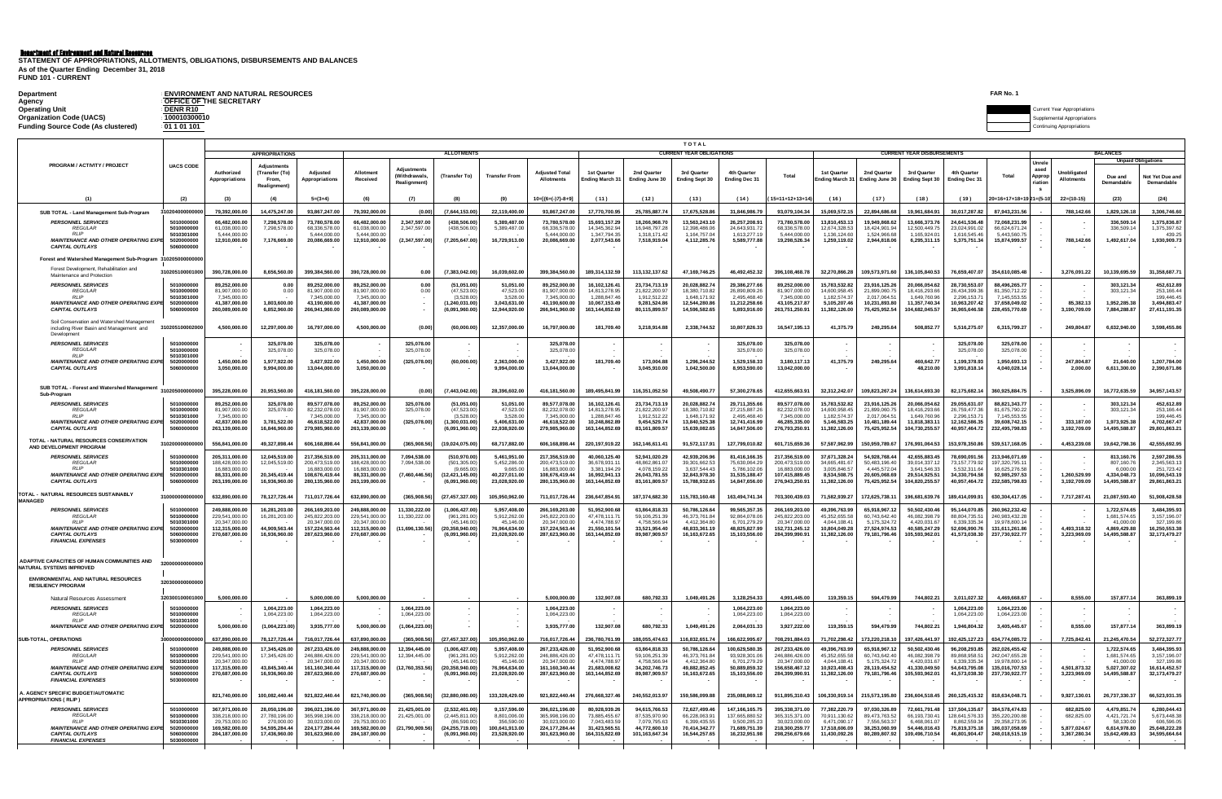| <b>Department</b>                  | <b>ENVIRONMENT AND NATURAL RESOURCES</b> | FAR No.                            |
|------------------------------------|------------------------------------------|------------------------------------|
| Agency                             | <b>OFFICE OF THE SECRETARY</b>           |                                    |
| <b>Operating Unit</b>              | <b>DENR R10</b>                          | <b>Current Year Appropriations</b> |
| <b>Organization Code (UACS)</b>    | 100010300010                             | Supplemental Appropriations        |
| Funding Source Code (As clustered) | 01101101                                 | ntinuing Appropriations            |

|                                                                                                                                   |                                                    | <b>TOTAL</b>                                                                      |                                                           |                                                                                  |                                                                                   |                                                   |                                                                              |                                                                    |                                                                                   |                                                                                   |                                                                                 |                                                                                  |                                                                                 |                                                                                   |                                                                                 |                                                                                  |                                                                                   |                                                                                 |                                                                                   |                                              |                                        |                                                          |                                                                         |  |
|-----------------------------------------------------------------------------------------------------------------------------------|----------------------------------------------------|-----------------------------------------------------------------------------------|-----------------------------------------------------------|----------------------------------------------------------------------------------|-----------------------------------------------------------------------------------|---------------------------------------------------|------------------------------------------------------------------------------|--------------------------------------------------------------------|-----------------------------------------------------------------------------------|-----------------------------------------------------------------------------------|---------------------------------------------------------------------------------|----------------------------------------------------------------------------------|---------------------------------------------------------------------------------|-----------------------------------------------------------------------------------|---------------------------------------------------------------------------------|----------------------------------------------------------------------------------|-----------------------------------------------------------------------------------|---------------------------------------------------------------------------------|-----------------------------------------------------------------------------------|----------------------------------------------|----------------------------------------|----------------------------------------------------------|-------------------------------------------------------------------------|--|
|                                                                                                                                   |                                                    |                                                                                   | <b>APPROPRIATIONS</b>                                     |                                                                                  |                                                                                   |                                                   | <b>ALLOTMENTS</b>                                                            |                                                                    |                                                                                   |                                                                                   |                                                                                 | <b>CURRENT YEAR OBLIGATIONS</b>                                                  |                                                                                 |                                                                                   |                                                                                 |                                                                                  | <b>CURRENT YEAR DISBURSEMENTS</b>                                                 |                                                                                 |                                                                                   | <b>BALANCES</b><br><b>Unpaid Obligations</b> |                                        |                                                          |                                                                         |  |
| <b>PROGRAM / ACTIVITY / PROJECT</b>                                                                                               | <b>UACS CODE</b>                                   | Authorized<br>Appropriation                                                       | (Transfer (To)<br>From,<br><b>Realignment</b> )           | Adiustec<br>Appropriations                                                       | Allotment<br>Received                                                             | Adiustments<br><b>(Withdrawals</b><br>Realignment | (Transfer To)                                                                | <b>Transfer From</b>                                               | <b>Adjusted Total</b><br>Allotments                                               | 1st Quarte<br><b>Ending March 31</b>                                              | 2nd Quarte<br>Ending June 30                                                    | 3rd Quarte<br><b>Ending Sept 30</b>                                              | 4th Quarter<br><b>Ending Dec 31</b>                                             | Total                                                                             | 1st Quarter<br><b>Ending March 31</b>                                           | 2nd Quarter<br>Ending June 30                                                    | 3rd Quarter<br><b>Ending Sept 30</b>                                              | 4th Quarte<br><b>Ending Dec 31</b>                                              | Total                                                                             | Unrele<br>ased<br>Appro<br>riatio            | <b>Unobligate</b><br><b>Allotments</b> | Due and<br>Demandab                                      | Not Yet Due ar<br>Demandable                                            |  |
|                                                                                                                                   | (2)                                                |                                                                                   |                                                           | $5 = (3 + 4)$                                                                    | (6)                                                                               | (7)                                               | (8)                                                                          | (9)                                                                | $10 = 1(6 + (-17) - 8 + 9)$                                                       | (11)                                                                              | (12)                                                                            | (13)                                                                             | (14)                                                                            | $15=11+12+13+14$                                                                  | (16)                                                                            | (17)                                                                             | (18)                                                                              | (19)                                                                            | 20=16+17+18+19 21=(5-10                                                           |                                              | $22 = (10-15)$                         | (23)                                                     | (24)                                                                    |  |
| SUB TOTAL - Land Management Sub-Program                                                                                           |                                                    | 79,392,000.00                                                                     | 14,475,247.0                                              | 93.867.247.0                                                                     | 79,392,000.0                                                                      | (0.0)                                             | (7,644,153.00)                                                               | 22,119,400.0                                                       | 93,867,247.00                                                                     | 17,770,700.95                                                                     | 25,785,887.74                                                                   | 17,675,528.86                                                                    | 31,846,986.79                                                                   | 93,079,104.34                                                                     | 15,069,572.15                                                                   | 22,894,686.6                                                                     | 19,961,684.9                                                                      | 30.017.287.8                                                                    | 87,943,231.5                                                                      |                                              | 788,142.66                             | 1.829.126.1                                              | 3,306,746.60                                                            |  |
| <b>PERSONNEL SERVICES</b><br><b>REGULAR</b>                                                                                       | 5010000000<br>501000000                            | 66.482.000.00<br>61.038.000.00                                                    | 7.298.578.00<br>7,298,578.00                              | 73.780.578.00<br>68.336.578.00                                                   | 66.482.000.00<br>61.038.000.00                                                    | 2,347,597.00<br>2.347.597.00                      | (438,506.00)<br>(438.506.00)                                                 | 5,389,487.00<br>5,389,487.00                                       | 73.780.578.00<br>68,336,578.00                                                    | 15.693.157.29<br>14.345.362.94                                                    | 18.266.968.70<br>16,948,797.28                                                  | 13.563.243.10<br>12.398.486.06                                                   | 26.257.208.91<br>24.643.931.72                                                  | 73.780.578.00<br>68.336.578.00                                                    | 13.810.453.13<br>12.674.328.53                                                  | 19.949.868.62<br>18.424.901.94                                                   | 13.666.373.76<br>12.500.449.75                                                    | 24.641.536.48<br>23.024.991.02                                                  | 72.068.231.99<br>6.624.671.24                                                     |                                              |                                        | 336,509.14<br>336,509.14                                 | 1.375.836.87<br>1.375.397.62                                            |  |
| RI IP<br><b>MAINTENANCE AND OTHER OPERATING EX</b><br><b>CAPITAL OUTLAYS</b>                                                      | 501030100<br>502000000                             | 5.444.000.0<br>12.910.000.00                                                      | 7,176,669.00                                              | 5.444.000.0<br>20.086.669.00                                                     | 5444,000.0<br>12.910.000.00                                                       | (2.347,597,00)                                    | (7,205,647.00)                                                               | 16,729,913.00                                                      | 5444,000.0<br>20,086,669.00                                                       | 1.347.794.35<br>2,077,543.66                                                      | 1.318.171.42<br>7.518.919.04                                                    | 1.164.757.0<br>4,112,285.76                                                      | 1.613.277.1<br>5,589,777.88                                                     | 5 444 000 00<br>19,298,526.34                                                     | 1.136.124.60<br>1.259.119.02                                                    | 1.524.966.68<br>2,944,818.06                                                     | 1.165.924.01<br>6,295,311.15                                                      | 1.616.545.4<br>5,375,751.34                                                     | 5 443 560 75<br>15,874,999.57                                                     |                                              | 788.142.66                             | 1,492,617.04                                             | 439.25<br>1.930.909.73                                                  |  |
| Forest and Watershed Management Sub-Program                                                                                       |                                                    |                                                                                   |                                                           |                                                                                  |                                                                                   |                                                   |                                                                              |                                                                    |                                                                                   |                                                                                   |                                                                                 |                                                                                  |                                                                                 |                                                                                   |                                                                                 |                                                                                  |                                                                                   |                                                                                 |                                                                                   |                                              |                                        |                                                          |                                                                         |  |
| Forest Development, Rehabilitation and<br>Maintenance and Protection                                                              | 310205100001000                                    | 390.728.000.00                                                                    | 8.656.560.00                                              | 399.384.560.00                                                                   | 390.728.000.00                                                                    | 0.00                                              | (7.383.042.00)                                                               | 16.039.602.00                                                      | 399.384.560.00                                                                    | 189.314.132.59                                                                    | 113.132.137.62                                                                  | 47.169.746.25                                                                    | 46.492.452.32                                                                   | 396.108.468.78                                                                    | 32.270.866.28                                                                   | 109.573.971.60                                                                   | 136.105.840.53                                                                    | 76.659.407.07                                                                   | 354.610.085.48                                                                    |                                              | 3.276.091.22                           | 10.139.695.59                                            | 31.358.687.71                                                           |  |
| <b>PERSONNEL SERVICES</b><br><b>REGULAF</b><br><b>RIP</b><br><b>MAINTENANCE AND OTHER OPERATING EXP</b><br><b>CAPITAL OUTLAYS</b> | 501000000<br>501000000<br>5010301000<br>502000000  | 89.252.000.00<br>81.907.000.00<br>7.345.000.00<br>41.387.000.00<br>260.089.000.00 | 0.00<br>0.00<br>1.803.600.00<br>6.852.960.00              | 89.252.000.0<br>81,907,000.00<br>7.345.000.0<br>43.190.600.00<br>266.941.960.00  | 89.252.000.00<br>81,907,000.00<br>7.345.000.00<br>41.387.000.00<br>260.089.000.00 | 0.00<br>0.00                                      | (51.051.00<br>(47.523.00)<br>(3.528.00)<br>(1.240.031.00)<br>(6,091,960.00)  | 51.051.0<br>47.523.00<br>3.528.00<br>3.043.631.00<br>12.944.920.00 | 89.252.000.0<br>81.907.000.00<br>7.345.000.0<br>43.190.600.00<br>266,941,960.00   | 16.102.126.41<br>14,813,278.95<br>1 288 847 46<br>10.067.153.49<br>163,144,852.69 | 23.734.713.19<br>21,822,200.97<br>1 912 512 23<br>9.281.524.86<br>80.115.899.57 | 20.028.882.74<br>18.380.710.82<br>1 648 171 93<br>12.544.280.86<br>14.596.582.65 | 29.386.277.6<br>26.890.809.26<br>2.495.468.4<br>11.212.258.66<br>5.893.916.00   | 89.252.000.00<br>81.907.000.00<br>7.345.000.00<br>43.105.217.87<br>263.751.250.91 | 15,783,532.82<br>14.600.958.45<br>1 182 574 37<br>5.105.207.46<br>11.382.126.00 | 23,916,125.26<br>21.899.060.75<br>2.017.064.51<br>10.231.893.80<br>75.425.952.54 | 20.066.054.62<br>18,416,293.66<br>1 649 760 96<br>11.357.740.34<br>104.682.045.57 | 28.730.553.07<br>26,434,399.36<br>2.296.153.7<br>10.963.207.42<br>36.965.646.58 | 88.496.265.77<br>81,350,712.22<br>7 145 553 55<br>37.658.049.02<br>228.455.770.69 |                                              | 85.382.13<br>3.190.709.09              | 303.121.3<br>303.121.34<br>1.952.285.38<br>7.884.288.87  | 452.612.89<br>253.166.44<br>199 446 45<br>3.494.883.47<br>27.411.191.35 |  |
| Soil Conservation and Watershed Management<br>including River Basin and Management and<br>Development                             | 310205100002000                                    | 4.500.000.00                                                                      | 12.297.000.00                                             | 16,797,000,00                                                                    | 4.500.000.00                                                                      | (0.00)                                            | (60,000.00)                                                                  | 12.357.000.00                                                      | 16.797.000.0                                                                      | 181,709.40                                                                        | 3.218.914.88                                                                    | 2.338.744.52                                                                     | 10,807,826,33                                                                   | 16,547,195.13                                                                     | 41,375.79                                                                       | 249,295.64                                                                       | 508.852.77                                                                        | 5.516.275.07                                                                    | 6,315,799.27                                                                      |                                              | 249.804.87                             | 6.632.940.00                                             | 3,598,455.86                                                            |  |
| <b>PERSONNEL SERVICES</b><br><b>REGULAR</b>                                                                                       | 5010000000<br>5010000000                           |                                                                                   | 325.078.00<br>325.078.00                                  | 325.078.00<br>325.078.00                                                         |                                                                                   | 325.078.00<br>325,078,00                          |                                                                              |                                                                    | 325.078.00<br>325,078.00                                                          |                                                                                   |                                                                                 |                                                                                  | 325.078.00<br>325,078,00                                                        | 325.078.00<br>325.078.00                                                          |                                                                                 |                                                                                  |                                                                                   | 325.078.00<br>325.078.00                                                        | 325.078.00<br>325.078.00                                                          |                                              |                                        |                                                          |                                                                         |  |
| <b>RIF</b><br><b>MAINTENANCE AND OTHER OPERATING EXP</b><br><b>CAPITAL OUTLAYS</b>                                                | 5010301000<br>502000000<br>506000000               | 1,450,000.00<br>3.050.000.00                                                      | 1,977,922.00<br>9.994.000.00                              | 3,427,922.00<br>13.044.000.00                                                    | 1,450,000.00<br>3.050.000.00                                                      | (325,078.00)                                      | (60,000.00)                                                                  | 2,363,000.00<br>9,994,000.00                                       | 3,427,922.00<br>13.044.000.00                                                     | 181.709.40                                                                        | 173,004.88<br>3.045.910.00                                                      | 1,296,244.52<br>1.042.500.00                                                     | 1,529,158.33<br>8.953.590.00                                                    | 3,180,117.13<br>13.042.000.00                                                     | 41,375.79                                                                       | 249,295.64                                                                       | 460,642.77<br>48.210.00                                                           | 1.199.378.93<br>3.991.818.14                                                    | 1,950,693.13<br>4.040.028.14                                                      |                                              | 247.804.87<br>2.000.00                 | 21,640.00<br>6.611.300.00                                | 1,207,784.00<br>2.390.671.86                                            |  |
| SUB TOTAL - Forest and Watershed Management<br>Sub-Program                                                                        | 3102050                                            | 395.228.000.00                                                                    | 20.953.560.00                                             | 416.181.560.00                                                                   | 395.228.000.00                                                                    | (0.00)                                            | (7.443.042.00)                                                               | 28.396.602.00                                                      | 416.181.560.00                                                                    | 189.495.841.99                                                                    | 116.351.052.50                                                                  | 49.508.490.77                                                                    | 57.300.278.65                                                                   | 412.655.663.91                                                                    | 32.312.242.07                                                                   | 109.823.267.24                                                                   | 136.614.693.30                                                                    | 82.175.682.14                                                                   | 360.925.884.75                                                                    |                                              | 3.525.896.09                           | 16.772.635.59                                            | 34,957,143.57                                                           |  |
| <b>PERSONNEL SERVICES</b><br><b>REGULAR</b><br><b>RIP</b><br><b>MAINTENANCE AND OTHER OPERATING EXP</b><br><b>CAPITAL OUTLAYS</b> | 501000000<br>501000000<br>501030100<br>502000000   | 89.252.000.00<br>81,907,000.00<br>7.345.000.00<br>42,837,000.00<br>263.139.000.00 | 325.078.00<br>325,078.00<br>3,781,522.00<br>16.846.960.00 | 89.577.078.00<br>82,232,078.00<br>7.345.000.0<br>46,618,522.00<br>279,985,960.00 | 89.252.000.00<br>81,907,000.0<br>7.345.000.0<br>42,837,000.00<br>263,139,000.00   | 325.078.00<br>325,078.00<br>(325,078.00)          | (51.051.00<br>(47, 523.00)<br>(3.528.00)<br>(1,300,031.00)<br>(6,091,960.00) | 51.051.0<br>47,523.00<br>3,528.00<br>5,406,631.00<br>22.938.920.00 | 89,577,078,00<br>82,232,078.00<br>7.345.000.00<br>46.618.522.00<br>279,985,960.00 | 16.102.126.41<br>14,813,278.95<br>1.288.847.46<br>10,248,862.89<br>163,144,852.69 | 23.734.713.19<br>21,822,200.97<br>1.912.512.22<br>9.454.529.74<br>83,161,809.57 | 20.028.882.74<br>18,380,710.82<br>1.648.171.92<br>13.840.525.38<br>15.639.082.65 | 29.711.355.6<br>27,215,887.26<br>2.495.468.40<br>12,741,416.99<br>14,847,506.00 | 89.577.078.00<br>82,232,078.00<br>7.345.000.00<br>46.285.335.00<br>276,793,250.91 | 15.783.532.82<br>14,600,958.45<br>1.182.574.37<br>5.146.583.25<br>11,382,126.00 | 23.916.125.26<br>21,899,060.75<br>2.017.064.51<br>10.481.189.44<br>75,425,952.54 | 20.066.054.6<br>18,416,293.66<br>1.649.760.96<br>11.818.383.1<br>104,730,255.57   | 29.055.631.07<br>26,759,477.36<br>2.296.153.7<br>12.162.586.35<br>40,957,464.72 | 88.821.343.77<br>81,675,790.22<br>7.145.553.55<br>39.608.742.15<br>232,495,798.83 |                                              | 333,187.00<br>3.192.709.09             | 303.121.3<br>303,121.34<br>1,973,925.38<br>14.495.588.87 | 452.612.89<br>253 166 44<br>199.446.45<br>4.702.667.47<br>29,801,863.21 |  |
| TOTAL - NATURAL RESOURCES CONSERVATION<br>AND DEVELOPMENT PROGRAM                                                                 | 102000000                                          | 556.841.000.00                                                                    | 49.327.898.4                                              | 606.168.898.4                                                                    | 556.841.000.00                                                                    | (365,908.56                                       | (19.024.075.00)                                                              | 68.717.882.00                                                      | 606.168.898.4                                                                     | 220.197.919.22                                                                    | 162.146.611.41                                                                  | 91.572.117.91                                                                    | 127.799.010.82                                                                  | 601.715.659.36                                                                    | 57.587.962.99                                                                   | 150.959.789.67                                                                   | 176.991.064.53                                                                    | 153.978.350.86                                                                  | 539.517.168.05                                                                    |                                              | 4.453.239.08                           | 19.642.798.36                                            | 42,555,692.95                                                           |  |
| <b>PERSONNEL SERVICES</b><br><b>RFGULAR</b>                                                                                       | 5010000000<br>5010000000                           | 205.311.000.00<br>188 428 000 00                                                  | 12.045.519.00<br>12.045.519.00                            | 217.356.519.00<br>200 473 519 00                                                 | 205.311.000.00<br>188 428 000 00                                                  | 7.094.538.00<br>7.094.538.00                      | (510.970.00)<br>(501, 305, 00)                                               | 5.461.951.00<br>5.452.286.00                                       | 217.356.519.0<br>200 473 519.00                                                   | 40.060.125.40<br>36.678.931.11                                                    | 52.941.020.29<br>48 862 861 07                                                  | 42.939.206.96<br>39.301.662.53                                                   | 81.416.166.35<br>75 630 064 29                                                  | 217.356.519.00<br>200 473 519 00                                                  | 37.671.328.24<br>34 665 481 67                                                  | 54.928.768.44<br>50 483 196 40                                                   | 42.655.883.45<br>39.014.337.12                                                    | 78.690.091.56<br>73.157.779.92                                                  | 213.946.071.69<br>197 320 795 11                                                  |                                              |                                        | 813.160.7<br>807 160 76                                  | 2.597.286.55<br>2.345.563.13                                            |  |
| RI IP<br><b>MAINTENANCE AND OTHER OPERATING EXP</b><br><b>CAPITAL OUTLAYS</b>                                                     | 5010301000<br>502000000<br>506000000               | 16,883,000.00<br>88.331.000.00<br>263.199.000.00                                  | 20 345 419 44<br>16.936.960.00                            | 16.883.000.0<br>108 676 419 44<br>280.135.960.00                                 | 16,883,000.0<br>88.331.000.00<br>263.199.000.00                                   | (7.460.446.56)                                    | (9.665.00)<br>(12.421.145.00)<br>(6.091.960.00)                              | 9.665.00<br>40.227.011.00<br>23.028.920.00                         | 16,883,000.00<br>108 676 419 44<br>280.135.960.00                                 | 3.381.194.29<br>16 992 941 13<br>163.144.852.69                                   | 4.078.159.22<br>26.043.781.55<br>83.161.809.57                                  | 3 637 544 43<br>32 843 978 30<br>15.788.932.65                                   | 5.786.102.06<br>31 535 188 47<br>14.847.656.00                                  | 16,883,000.00<br>107 415 889 45<br>276.943.250.91                                 | 3.005.846.57<br>853450875<br>11.382.126.00                                      | 4 4 4 5 5 7 2 0 4<br>20 830 503 0C<br>75.425.952.54                              | 3.641.546.33<br>29 514 925 51<br>104.820.255.57                                   | 5.532.311.64<br>34 330 794 58<br>40.957.464.72                                  | 16.625.276.58<br>92 985 297 53<br>232.585.798.83                                  |                                              | 1.260.529.99<br>3.192.709.09           | 6,000.00<br>4 334 048 73<br>14.495.588.87                | 251.723.42<br>10.096.543.19<br>29.861.863.21                            |  |
| TOTAL - NATURAL RESOURCES SUSTAINABLY<br><b>MANAGED</b>                                                                           |                                                    | 632,890,000.00                                                                    | 78.127.726.44                                             | 711.017.726.44                                                                   | 632,890,000.00                                                                    | (365,908.56)                                      | (27.457.327.00)                                                              | 105.950.962.00                                                     | 711.017.726.44                                                                    | 236.647.854.91                                                                    | 187.374.682.30                                                                  | 115.783.160.48                                                                   | 163.494.741.34                                                                  | 703.300.439.03                                                                    | 71.582.939.27                                                                   | 172.625.738.11                                                                   | 196.681.639.76                                                                    | 189.414.099.91                                                                  | 630.304.417.05                                                                    |                                              | 7.717.287.41                           | 21.087.593.40                                            | 51.908.428.58                                                           |  |
| <b>PERSONNEL SERVICES</b><br><b>REGULAR</b>                                                                                       | 501000000<br>501000000                             | 249.888.000.00<br>229.541.000.00                                                  | 16,281,203.00<br>16,281,203.00                            | 266,169,203.00<br>245,822,203.00                                                 | 249,888,000.00<br>229.541.000.00                                                  | 1,330,222.00<br>11,330,222.0                      | (1,006,427.00<br>(961,281.00                                                 | 5.957.408.0<br>5,912,262.00                                        | 266,169,203.00<br>245,822,203.00                                                  | 51,952,900.68<br>47,478,111.71                                                    | 63,864,818.33<br>59,106,251.39                                                  | 50,786,126.64<br>46.373.761.84                                                   | 99,565,357.35<br>92.864.078.06                                                  | 266,169,203.00<br>245.822.203.00                                                  | 49,396,763.99<br>45.352.655.58                                                  | 65.918.967.12<br>60.743.642.40                                                   | 50,502,430.4<br>46.082.398.79                                                     | 95,144,070.85<br>88.804.735.51                                                  | 260.962.232.42<br>240.983.432.28                                                  |                                              |                                        | 1.722.574.65<br>1.681.574.65                             | 3,484,395.93<br>3 157 196 07                                            |  |
| RI IP<br><b>MAINTENANCE AND OTHER OPERATING EXP</b><br><b>CAPITAL OUTLAYS</b><br><b>FINANCIAL EXPENSES</b>                        | 501030100<br>502000000<br>506000000<br>50300       | 20.347.000.0<br>112.315.000.00<br>270,687,000.00                                  | 44.909.563.44<br>16,936,960.00                            | 20.347.000.0<br>157.224.563.44<br>287,623,960.00                                 | 20,347,000.0<br>112.315.000.00<br>270,687,000.00                                  | 11.696.130.56                                     | (45.146.00<br>(20.358.940.00)<br>(6,091,960.00)                              | 45,146.0<br>76.964.634.00<br>23,028,920.00                         | 20.347.000.0<br>157.224.563.44<br>287,623,960.00                                  | 4.474.788.97<br>21.550.101.54<br>163,144,852.69                                   | 4.758.566.94<br>33.521.954.40<br>89,987,909.57                                  | 4.412.364.80<br>48.833.361.19<br>16, 163, 672.65                                 | 6.701.279.29<br>48.825.827.99<br>15,103,556.00                                  | 20.347,000 00<br>152.731.245.12<br>284,399,990.91                                 | 4.044.108.4<br>10.804.049.28<br>11,382,126.00                                   | 5.175.324.72<br>27.524.974.53<br>79,181,796.46                                   | 4,420,031.67<br>40.585.247.29<br>105,593,962.01                                   | 6.339.335.34<br>52.696.990.76<br>41,573,038.30                                  | 19.978.800.1<br>131.611.261.86<br>237,730,922.77                                  |                                              | 4.493.318.32<br>3,223,969.09           | 41,000.00<br>4.869.429.88<br>14,495,588.87               | 327,199.86<br>16.250.553.38<br>32,173,479.27                            |  |
| ADAPTIVE CAPACITIES OF HUMAN COMMUNITIES AND<br><b>NATURAL SYSTEMS IMPROVED</b>                                                   |                                                    |                                                                                   |                                                           |                                                                                  |                                                                                   |                                                   |                                                                              |                                                                    |                                                                                   |                                                                                   |                                                                                 |                                                                                  |                                                                                 |                                                                                   |                                                                                 |                                                                                  |                                                                                   |                                                                                 |                                                                                   |                                              |                                        |                                                          |                                                                         |  |
| <b>ENVIRONMENTAL AND NATURAL RESOURCES</b><br><b>RESILIENCY PROGRAM</b>                                                           |                                                    |                                                                                   |                                                           |                                                                                  |                                                                                   |                                                   |                                                                              |                                                                    |                                                                                   |                                                                                   |                                                                                 |                                                                                  |                                                                                 |                                                                                   |                                                                                 |                                                                                  |                                                                                   |                                                                                 |                                                                                   |                                              |                                        |                                                          |                                                                         |  |
| Natural Resources Assessment                                                                                                      | 320300100001000                                    | 5,000,000.00                                                                      |                                                           | 5.000.000.0                                                                      | 5.000.000.0                                                                       |                                                   |                                                                              |                                                                    | 5.000.000.0                                                                       | 132,907.08                                                                        | 680,792.33                                                                      | 1,049,491.26                                                                     | 3,128,254.33                                                                    | 4.991.445.00                                                                      | 119,359.15                                                                      | 594,479.99                                                                       | 744,802.21                                                                        | 3,011,027.3                                                                     | 4,469,668.67                                                                      |                                              | 8,555.00                               | 157,877.14                                               | 363,899.19                                                              |  |
| <b>PERSONNEL SERVICES</b><br><b>REGULAR</b><br>RI IP                                                                              | 5010000000<br>5010000000<br>5010301000             |                                                                                   | 1.064.223.00<br>1.064.223.00                              | 1.064.223.00<br>1 064 223 00                                                     |                                                                                   | 1.064.223.00<br>1.064.223.00                      |                                                                              |                                                                    | 1.064.223.00<br>1.064.223.00                                                      |                                                                                   |                                                                                 |                                                                                  | 1.064.223.00<br>1.064.223.00                                                    | 1.064.223.00<br>1.064.223.00                                                      |                                                                                 |                                                                                  |                                                                                   | 1.064.223.00<br>1.064.223.00                                                    | 1.064.223.00<br>1.064.223.00                                                      |                                              |                                        |                                                          |                                                                         |  |
| <b>MAINTENANCE AND OTHER OPERATING EXPI</b>                                                                                       | 5020000000                                         | 5.000.000.00                                                                      | (1.064.223.00)                                            | 3.935.777.00                                                                     | 5.000.000.00                                                                      | (1.064.223.00)                                    |                                                                              |                                                                    | 3.935.777.00                                                                      | 132.907.08                                                                        | 680.792.33                                                                      | 1.049.491.26                                                                     | 2.064.031.33                                                                    | 3.927.222.00                                                                      | 119.359.15                                                                      | 594,479.99                                                                       | 744.802.21                                                                        | 1.946.804.32                                                                    | 3.405.445.67                                                                      |                                              | 8.555.00                               | 157.877.14                                               | 363.899.19                                                              |  |
| <b>SUB-TOTAL, OPERATIONS</b>                                                                                                      |                                                    | 637.890.000.00                                                                    | 78.127.726.44                                             | 716.017.726.44                                                                   | 637.890.000.00                                                                    | (365.908.56)                                      | (27.457.327.00)                                                              | 105.950.962.0                                                      | 716.017.726.44                                                                    | 236.780.761.99                                                                    | 188.055.474.63                                                                  | 116.832.651.74                                                                   | 166.622.995.67                                                                  | 708.291.884.03                                                                    | 71.702.298.42                                                                   | 173.220.218.10                                                                   | 197.426.441.97                                                                    | 192.425.127.23                                                                  | 634.774.085.72                                                                    |                                              | 7.725.842.41                           | 21.245.470.54                                            | 52.272.327.77                                                           |  |
| <b>PERSONNEL SERVICES</b><br><b>REGULAR</b>                                                                                       | 501000000<br>5010000000                            | 249.888.000.00<br>229.541.000.00                                                  | 17.345.426.00<br>17,345,426.00                            | 267.233.426.00<br>246.886.426.00                                                 | 249.888.000.00<br>229.541.000.00                                                  | 12.394.445.00<br>12,394,445.00                    | 1.006.427.00<br>(961.281.00)                                                 | 5.957.408.00<br>5,912,262.00                                       | 267.233.426.00<br>246 886 426 00                                                  | 51.952.900.68<br>47 478 111 71                                                    | 63.864.818.33<br>59.106.251.39                                                  | 50.786.126.64<br>46.373.761.84                                                   | 100.629.580.35<br>93.928.301.06                                                 | 267.233.426.00<br>246.886.426.00                                                  | 49.396.763.99<br>45 352 655 58                                                  | 65.918.967.12<br>60.743.642.40                                                   | 50.502.430.4<br>46.082.398.79                                                     | 96.208.293.8<br>89,868,958.51                                                   | 262.026.455.42<br>242.047.655.28                                                  |                                              |                                        | 1.722.574.65<br>1.681.574.65                             | 3.484.395.93<br>3.157.196.07                                            |  |
| <b>RIP</b><br><b>MAINTENANCE AND OTHER OPERATING EXP</b><br><b>CAPITAL OUTLAYS</b><br><b>FINANCIAL EXPENSE:</b>                   | 5010301000<br>5020000000<br>506000000<br>503000000 | 20.347.000.00<br>117.315.000.00<br>270,687,000.00                                 | 43.845.340.4<br>16,936,960.00                             | 20.347,000.00<br>161.160.340.44<br>287,623,960.00                                | 20.347.000.0<br>117.315.000.00<br>270,687,000.00                                  | 12,760,353.56)                                    | (45.146.00)<br>(20.358.940.00)<br>(6,091,960.00)                             | 45,146.00<br>76.964.634.00<br>23,028,920.00                        | 20.347,000.00<br>161.160.340.44<br>287,623,960.00                                 | 4 474 788 97<br>21.683.008.62<br>163,144,852.69                                   | 4 758 566 Q<br>34.202.746.73<br>89,987,909.57                                   | 4 412 364 80<br>49.882.852.45<br>16, 163, 672.65                                 | 6.701.279.29<br>50.889.859.32<br>15,103,556.00                                  | 20,347,000.00<br>156.658.467.12<br>284,399,990.91                                 | 4.044.108.4<br>10.923.408.43<br>11,382,126.00                                   | 5.175.324.72<br>28.119.454.52<br>79,181,796.46                                   | 4 420 031 67<br>41.330.049.50<br>105,593,962.0                                    | 6.339.335.34<br>54.643.795.08<br>41,573,038.30                                  | 19,978,800.14<br>135.016.707.53<br>237,730,922.77                                 |                                              | 4.501.873.32<br>3,223,969.09           | 41,000.00<br>5.027.307.02<br>14,495,588.87               | 327 199 86<br>16.614.452.57<br>32, 173, 479. 27                         |  |
| A. AGENCY SPECIFIC BUDGET/AUTOMATIC<br><b>APPROPRIATIONS (RLIP)</b>                                                               |                                                    | 821.740.000.00                                                                    | 100.082.440.44                                            | 921.822.440.44                                                                   | 821.740.000.00                                                                    | (365,908,56)                                      | (32,880,080,00)                                                              | 133,328,429.00                                                     | 921.822.440.44                                                                    | 276.668.327.46                                                                    | 240.552.013.97                                                                  | 159.586.099.88                                                                   | 235.088.869.12                                                                  | 911.895.310.43                                                                    | 106.330.919.14                                                                  | 215,573,195,80                                                                   | 236.604.518.45                                                                    | 260.125.415.32                                                                  | 818.634.048.71                                                                    |                                              | 9.927.130.01                           | 26.737.330.37                                            | 66,523,931.35                                                           |  |
| <b>PERSONNEL SERVICE:</b><br><b>REGULAR</b>                                                                                       | 50100000                                           | 367.971.000.00<br>338.218.000.00                                                  | 28.050.196.00<br>27.780.196.00                            | 396.021.196.0<br>365.998.196.00                                                  | 367.971.000.00<br>338.218.000.0                                                   | 21.425.001.0<br>21.425.001.00                     | (2.532.401.00<br>(2.445.811.00)                                              | 9.157.596.0<br>8.801.006.0                                         | 396.021.196.0<br>365.998.196.0                                                    | 80.928.939.26<br>73.885.455.67                                                    | 94.615.766.53<br>87.535.970.90                                                  | 72.627.499.4<br>66.228.063.9                                                     | 147.166.165.75<br>137.665.880.52                                                | 395.338.371.00<br>365.315.371.00                                                  | 77.382.220.79<br>70.911.130.62                                                  | 97.030.326.89<br>89.473.763.52                                                   | 72.661.791.4<br>66.193.730.4                                                      | 137.504.135.67<br>128.641.576.33                                                | 384.578.474.83<br>355.220.200.88                                                  |                                              | 682.825.0<br>682.825.00                | 4.479.851.7<br>4.421.721.7                               | 6.280.044.43<br>5.673.448.38                                            |  |
| RI IP<br><b>MAINTENANCE AND OTHER OPERATING EXP</b><br><b>CAPITAL OUTLAYS</b><br><b>FINANCIAL EXPENSES</b>                        | 501030100<br>502000000<br>50600000<br>50300000     | 29.753.000.0<br>169.582.000.00<br>284,187,000.00                                  | 270,000.0<br>54.595.284.4<br>17.436.960.00                | 30.023.000.0<br>224.177.284.4<br>301.623.960.00                                  | 29.753.000.0<br>169.582.000.0<br>284.187.000.0                                    | 21.790.909.56                                     | (86.590.00<br>(24.255.719.00)<br>(6,091,960.00)                              | 356,590.0<br>100.641.913.00<br>23.528.920.00                       | 30.023.000.0<br>224.177.284.4<br>301.623.960.00                                   | 7.043.483.59<br>31.423.565.51<br>164.315.822.69                                   | 7.079.795.6<br>44.772.600.10<br>101.163.647.34                                  | 6.399.435.5<br>70.414.342.7<br>16,544,257,65                                     | 9.500.285.23<br>71.689.751.39<br>16.232.951.98                                  | 30.023.000.00<br>218.300.259.77<br>298.256.679.66                                 | 6.471.090.1<br>17.518.606.09<br>11,430,092.26                                   | 7.556.563.37<br>38.253.060.99<br>80.289.807.92                                   | 6.468.061.0<br>54.446.016.43<br>109.496.710.54                                    | 8.862.559.3<br>75.819.375.18<br>46.801.904.47                                   | 29.358.273.95<br>186.037.058.69<br>248.018.515.19                                 |                                              | 5,877,024.67<br>3.367.280.34           | 58,130.0<br>6.614.978.80<br>15.642.499.83                | 606,596.05<br>25.648.222.28<br>34.595.664.64                            |  |
|                                                                                                                                   |                                                    |                                                                                   |                                                           |                                                                                  |                                                                                   |                                                   |                                                                              |                                                                    |                                                                                   |                                                                                   |                                                                                 |                                                                                  |                                                                                 |                                                                                   |                                                                                 |                                                                                  |                                                                                   |                                                                                 |                                                                                   |                                              |                                        |                                                          |                                                                         |  |